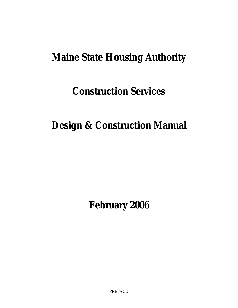### **Maine State Housing Authority**

## **Construction Services**

## **Design & Construction Manual**

**February 2006** 

PREFACE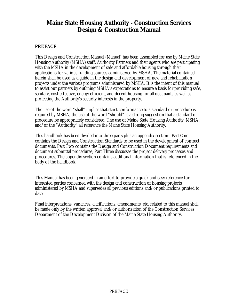#### <span id="page-1-0"></span>**Maine State Housing Authority - Construction Services Design & Construction Manual**

#### **PREFACE**

This Design and Construction Manual (Manual) has been assembled for use by Maine State Housing Authority (MSHA) staff, Authority Partners and their agents who are participating with the MSHA in the development of safe and affordable housing through their applications for various funding sources administered by MSHA. The material contained herein shall be used as a guide in the design and development of new and rehabilitation projects under the various programs administered by MSHA. It is the intent of this manual to assist our partners by outlining MSHA's expectations to ensure a basis for providing safe, sanitary, cost effective, energy efficient, and decent housing for all occupants as well as protecting the Authority's security interests in the property.

The use of the word "shall" implies that strict conformance to a standard or procedure is required by MSHA; the use of the word "should" is a strong suggestion that a standard or procedure be appropriately considered. The use of Maine State Housing Authority, MSHA, and/or the "Authority" all reference the Maine State Housing Authority.

This handbook has been divided into three parts plus an appendix section: Part One contains the Design and Construction Standards to be used in the development of contract documents; Part Two contains the Design and Construction Document requirements and document submittal procedures; Part Three discusses the project delivery processes and procedures. The appendix section contains additional information that is referenced in the body of the handbook.

This Manual has been generated in an effort to provide a quick and easy reference for interested parties concerned with the design and construction of housing projects administered by MSHA and supersedes all previous editions and/or publications printed to date.

Final interpretations, variances, clarifications, amendments, etc. related to this manual shall be made only by the written approval and/or authorization of the Construction Services Department of the Development Division of the Maine State Housing Authority.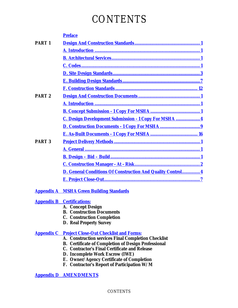## **CONTENTS**

|               | <b>Preface</b>                                                     |
|---------------|--------------------------------------------------------------------|
| <b>PART1</b>  |                                                                    |
|               |                                                                    |
|               |                                                                    |
|               |                                                                    |
|               |                                                                    |
|               |                                                                    |
|               |                                                                    |
| <b>PART 2</b> |                                                                    |
|               |                                                                    |
|               |                                                                    |
|               | C. Design Development Submission - 1 Copy For MSHA  4              |
|               |                                                                    |
|               |                                                                    |
| <b>PART 3</b> |                                                                    |
|               |                                                                    |
|               |                                                                    |
|               |                                                                    |
|               | <b>D. General Conditions Of Construction And Quality Control 4</b> |
|               |                                                                    |
|               |                                                                    |

#### **Appendix A [MSHA Green Building Standards](#page-48-0)**

#### **[Appendix B Certifications:](#page-49-0)**

- **A. Concept Design**
- **B. Construction Documents**
- **C. Construction Completion**
- **D. Real Property Survey**

#### **[Appendix C Project Close-Out Checklist and Forms:](#page-54-0)**

- **A. Construction services Final Completion Checklist**
- **B. Certificate of Completion of Design Professional**
- **C. Contractor's Final Certificate and Release**
- **D. Incomplete Work Escrow (IWE)**
- **E. Owner/Agency Certificate of Completion**
- **F. Contractor's Report of Participation W/M**

**[Appendix D AMENDMENTS](#page-62-0)**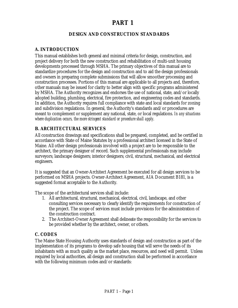#### **PART 1**

#### **DESIGN AND CONSTRUCTION STANDARDS**

#### <span id="page-3-0"></span>**A. INTRODUCTION**

This manual establishes both general and minimal criteria for design, construction, and project delivery for both the new construction and rehabilitation of multi-unit housing developments processed through MSHA. The primary objectives of this manual are to standardize procedures for the design and construction and to aid the design professionals and owners in preparing complete submissions that will allow smoother processing and construction processes. Portions of this manual are applicable to all projects and, therefore, other manuals may be issued for clarity to better align with specific programs administered by MSHA. The Authority recognizes and endorses the use of national, state, and/or locally adopted building, plumbing, electrical, fire protection, and engineering codes and standards. In addition, the Authority requires full compliance with state and local standards for zoning and subdivision regulations. In general, the Authority's standards and/or procedures are meant to complement or supplement any national, state, or local regulations. *In any situations where duplication occurs, the more stringent standard or procedure shall apply*.

#### **B. ARCHITECTURAL SERVICES**

All construction drawings and specifications shall be prepared, completed, and be certified in accordance with State of Maine Statutes by a professional architect licensed in the State of Maine. All other design professionals involved with a project are to be responsible to the architect, the primary designer of record. Such supplemental professionals may include surveyors; landscape designers; interior designers; civil, structural, mechanical, and electrical engineers.

It is suggested that an Owner-Architect Agreement be executed for all design services to be performed on MSHA projects. Owner-Architect Agreement, AIA Document B181, is a suggested format acceptable to the Authority.

The scope of the architectural services shall include:

- 1. All architectural, structural, mechanical, electrical, civil, landscape, and other consulting services necessary to clearly identify the requirements for construction of the project. The scope of services must include provisions for the administration of the construction contract.
- 2. The Architect-Owner Agreement shall delineate the responsibility for the services to be provided whether by the architect, owner, or others.

#### **C. CODES**

The Maine State Housing Authority uses standards of design and construction as part of the implementation of its programs to develop safe housing that will serve the needs of its inhabitants with as much quality as the market place, resources, and need will permit. Unless required by local authorities, all design and construction shall be performed in accordance with the following minimum codes and/or standards: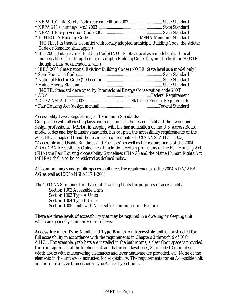| (NOTE: If in there is a conflict with locally adopted municipal Building Code, the stricter |  |
|---------------------------------------------------------------------------------------------|--|
| Code or Standard shall apply.)                                                              |  |
| * IBC 2003 (International Building Code) (NOTE: State level as a model only. If local       |  |
| municipalities elect to update to, or adopt a Building Code, they must adopt the 2003 IBC   |  |
| though it may be amended at will.)                                                          |  |
| * IEBC 2003 (International Existing Building Code) (NOTE: State level as a model only.)     |  |
|                                                                                             |  |
|                                                                                             |  |
|                                                                                             |  |
| (NOTE: Standard developed by International Energy Conservation code 2003)                   |  |
|                                                                                             |  |
|                                                                                             |  |
|                                                                                             |  |

Accessibility Laws, Regulations, and Minimum Standards:

Compliance with all existing laws and regulations is the responsibility of the owner and design professional. MSHA, in keeping with the harmonization of the U.S. Access Board, model codes and key industry standards, has adopted the accessibility requirements of the 2003 IBC, Chapter 11 and the technical requirements of ICC/ANSI A117.1-2003, "Accessible and Usable Buildings and Facilities" as well as the requirements of the 2004 ADA/ABA Accessibility Guidelines. In addition, certain provisions of the Fair Housing Act (FHA) the Fair Housing Accessibility Guidelines (FHAG) and the Maine Human Rights Act (MHRA) shall also be considered as defined below.

All common areas and public spaces shall meet the requirements of the 2004 ADA/ABA AG as well as ICC/ANSI A117.1-2003.

The 2003 ANSI defines four types of Dwelling Units for purposes of accessibility: Section 1002 Accessible Units Section 1003 Type A Units Section 1004 Type B Units Section 1005 Units with Accessible Communication Features

There are three levels of accessibility that may be required in a dwelling or sleeping unit which are generally summarized as follows:

**Accessible** units, **Type A** units and **Type B** units. An **Accessible** unit is constructed for full accessibility in accordance with the requirements in Chapters 3 through 9 of ICC A117.1. For example, grab bars are installed in the bathrooms, a clear floor space is provided for front approach at the kitchen sink and bathroom lavatories, 32-inch (813 mm) clear width doors with maneuvering clearances and lever hardware are provided, etc. None of the elements in the unit are constructed for adaptability. The requirements for an Accessible unit are more restrictive than either a Type A or a Type B unit.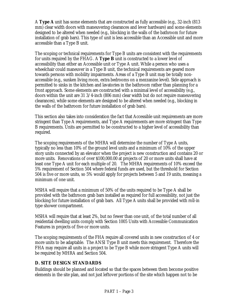<span id="page-5-0"></span>A **Type A** unit has some elements that are constructed as fully accessible (e.g., 32-inch (813 mm) clear width doors with maneuvering clearances and lever hardware) and some elements designed to be altered when needed (e.g., blocking in the walls of the bathroom for future installation of grab bars). This type of unit is less accessible than an Accessible unit and more accessible than a Type B unit.

The scoping or technical requirements for Type B units are consistent with the requirements for units required by the FHAG. A **Type B** unit is constructed to a lower level of accessibility than either an Accessible unit or Type A unit. While a person who uses a wheelchair could maneuver in a Type B unit, the technical requirements are geared more towards persons with mobility impairments. Areas of a Type B unit may be totally nonaccessible (e.g., sunken living room, extra bedrooms on a mezzanine level). Side approach is permitted to sinks in the kitchen and lavatories in the bathroom rather than planning for a front approach. Some elements are constructed with a minimal level of accessibility (e.g., doors within the unit are 31 3/4-inch (806 mm) clear width but do not require maneuvering clearances), while some elements are designed to be altered when needed (e.g., blocking in the walls of the bathroom for future installation of grab bars).

This section also takes into consideration the fact that Accessible unit requirements are more stringent than Type A requirements, and Type A requirements are more stringent than Type B requirements. Units are permitted to be constructed to a higher level of accessibility than required.

The scoping requirements of the MHRA will determine the number of Type A units, typically no less than 10% of the ground level units and a minimum of 10% of the upper story units connected by an elevator when the project is new construction and contains 20 or more units. Renovations of over \$100,000.00 at projects of 20 or more units shall have at least one Type A unit for each multiple of 20. The MHRA requirements of 10% exceed the 5% requirement of Section 504 where federal funds are used, but the threshold for Section 504 is five or more units, so 5% would apply for projects between 5 and 19 units, meaning a minimum of one unit.

MSHA will require that a minimum of 50% of the units required to be Type A shall be provided with the bathroom grab bars installed as required for full accessibility, not just the blocking for future installation of grab bars. All Type A units shall be provided with roll-in type shower compartment.

MSHA will require that at least 2%, but no fewer than one unit, of the total number of all residential dwelling units comply with Section 1005 Units with Accessible Communication Features in projects of five or more units.

The scoping requirements of the FHA require all covered units in new construction of 4 or more units to be adaptable. The ANSI Type B unit meets this requirement. Therefore the FHA may require all units in a project to be Type B while more stringent Type A units will be required by MHRA and Section 504.

#### **D. SITE DESIGN STANDARDS**

Buildings should be planned and located so that the spaces between them become positive elements in the site plan, and not just leftover portions of the site which happen not to be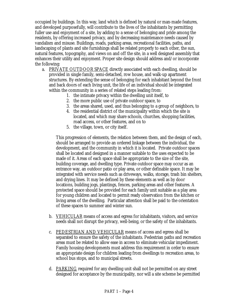occupied by buildings. In this way, land which is defined by natural or man-made features, and developed purposefully, will contribute to the lives of the inhabitants by permitting fuller use and enjoyment of a site, by adding to a sense of belonging and pride among the residents, by offering increased privacy, and by decreasing maintenance needs caused by vandalism and misuse. Buildings, roads, parking areas, recreational facilities, paths, and landscaping of plants and site furnishings shall be related properly to each other, the sun, natural features, topography, and views on and off the site, in a well designed assembly that enhances their utility and enjoyment. Proper site design should address and/or incorporate the following:

- a. PRIVATE OUTDOOR SPACE directly associated with each dwelling, should be provided in single family, semi-detached, row house, and walk-up apartment structures. By extending the sense of belonging for each inhabitant beyond the front and back doors of each living unit, the life of an individual should be integrated within the community in a series of related steps leading from:
	- 1. the intimate privacy within the dwelling unit itself, to
	- 2. the more public use of private outdoor space, to
	- 3. the areas shared, used, and thus belonging to a group of neighbors, to
	- 4. the residential district of the municipality within which the site is located, and which may share schools, churches, shopping facilities, road access, or other features, and on to
	- 5. the village, town, or city itself.

This progression of elements, the relation between them, and the design of each, should be arranged to provide an ordered linkage between the individual, the development, and the community in which it is located. Private outdoor spaces shall be located and designed in a manner suitable to the uses expected to be made of it. Areas of each space shall be appropriate to the size of the site, building coverage, and dwelling type. Private outdoor space may occur as an entrance way, an outdoor patio or play area, or other definable space. It may be integrated with service needs such as driveways, walks, storage, trash bin shelters, and drying lines. It may be defined by these elements as well as by door locations, building jogs, plantings, fences, parking areas and other features. A protected space should be provided for each family unit suitable as a play area for young children and located to permit ready observation from the kitchen or living areas of the dwelling. Particular attention shall be paid to the orientation of these spaces to summer and winter sun.

- b. VEHICULAR means of access and egress for inhabitants, visitors, and service needs shall not disrupt the privacy, well-being, or the safety of the inhabitants.
- c. PEDESTRIAN AND VEHICULAR means of access and egress shall be separated to ensure the safety of the inhabitants. Pedestrian paths and recreation areas must be related to allow ease in access to eliminate vehicular impediment. Family housing developments must address this requirement in order to ensure an appropriate design for children leading from dwellings to recreation areas, to school bus stops, and to municipal streets.
- d. PARKING required for any dwelling unit shall not be permitted on any street designed for acceptance by the municipality, nor will a site scheme be permitted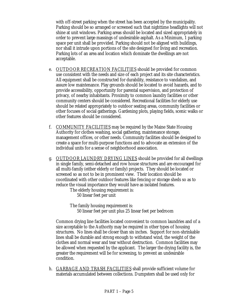with off-street parking when the street has been accepted by the municipality. Parking should be so arranged or screened such that nighttime headlights will not shine at unit windows. Parking areas should be located and sized appropriately in order to prevent large massings of undesirable asphalt. As a Minimum, 1 parking space per unit shall be provided. Parking should not be aligned with buildings, nor shall it intrude upon portions of the site designed for living and recreation. Parking lots of an area and location which dominate the dwellings are not acceptable.

- e. OUTDOOR RECREATION FACILITIES should be provided for common use consistent with the needs and size of each project and its site characteristics. All equipment shall be constructed for durability, resistance to vandalism, and assure low maintenance. Play grounds should be located to avoid hazards, and to provide accessibility, opportunity for parental supervision, and protection of privacy, of nearby inhabitants. Proximity to common laundry facilities or other community centers should be considered. Recreational facilities for elderly use should be related appropriately to outdoor seating areas, community facilities or other focuses of social gatherings. Gardening plots, playing fields, scenic walks or other features should be considered.
- f. COMMUNITY FACILITIES may be required by the Maine State Housing Authority for clothes washing, social gathering, maintenance storage, management offices, or other needs. Community facilities should be designed to create a space for multi-purpose functions and to advocate an extension of the individual units for a sense of neighborhood association.
- g. OUTDOOR LAUNDRY DRYING LINES should be provided for all dwellings in single family, semi-detached and row house structures and are encouraged for all multi-family (either elderly or family) projects. They should be located or screened so as not to be in prominent view. Their location should be coordinated with other outdoor features like fencing or storage sheds so as to reduce the visual importance they would have as isolated features.

The elderly housing requirement is: 50 linear feet per unit

The family housing requirement is: 50 linear feet per unit plus 25 linear feet per bedroom

Common drying line facilities located convenient to common laundries and of a size acceptable to the Authority may be required in other types of housing structures. No lines shall be closer than six inches. Support for non-shrinkable lines shall be durable and strong enough to withstand wind, the weight of the clothes and normal wear and tear without destruction. Common facilities may be allowed when requested by the applicant. The larger the drying facility is, the greater the requirement will be for screening, to prevent an undesirable condition.

h. GARBAGE AND TRASH FACILITIES shall provide sufficient volume for materials accumulated between collections. Dumpsters shall be used only for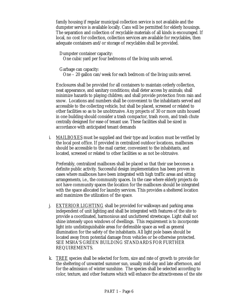family housing if regular municipal collection service is not available and the dumpster service is available locally. Cans will be permitted for elderly housings. The separation and collection of recyclable materials of all kinds is encouraged. If local, no cost for collection, collection services are available for recyclables, then adequate containers and/or storage of recyclables shall be provided.

Dumpster container capacity:

One cubic yard per four bedrooms of the living units served.

Garbage can capacity:

One – 20 gallon can/week for each bedroom of the living units served.

Enclosures shall be provided for all containers to maintain orderly collection, neat appearance, and sanitary conditions; shall deter access by animals; shall minimize hazards to playing children; and shall provide protection from rain and snow. Locations and numbers shall be convenient to the inhabitants served and accessible to the collecting vehicle, but shall be placed, screened or related to other facilities so as to be unobtrusive. Any projects of 30 or more units housed in one building should consider a trash compactor, trash room, and trash chute centrally designed for ease of tenant use. These facilities shall be sized in accordance with anticipated tenant demands

i. MAILBOXES must be supplied and their type and location must be verified by the local post office. If provided in centralized outdoor locations, mailboxes should be accessible to the mail carrier, convenient to the inhabitants, and located, screened or related to other facilities so as not be obtrusive.

Preferably, centralized mailboxes shall be placed so that their use becomes a definite public activity. Successful design implementation has been proven in cases where mailboxes have been integrated with high traffic areas and sitting arrangements, i.e., the community spaces. In the case where elderly projects do not have community spaces the location for the mailboxes should be integrated with the space allocated for laundry services. This provides a sheltered location and maximizes the utilization of the space.

- j. EXTERIOR LIGHTING shall be provided for walkways and parking areas independent of unit lighting and shall be integrated with features of the site to provide a coordinated, harmonious and uncluttered streetscape. Light shall not shine intensely upon windows of dwellings. This requirement is to incorporate light into undistinguishable areas for defensible space as well as general illumination for the safety of the inhabitants. All light pole bases should be located away from potential damage from vehicles or be otherwise protected. SEE MSHA'S GREEN BUILDING STANDARDS FOR FURTHER REQUIREMENTS.
- k. TREE species shall be selected for form, size and rate of growth to provide for the sheltering of unwanted summer sun, usually mid-day and late afternoon, and for the admission of winter sunshine. The species shall be selected according to color, texture, and other features which will enhance the attractiveness of the site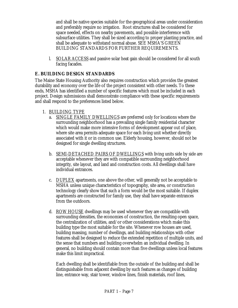<span id="page-9-0"></span>and shall be native species suitable for the geographical areas under consideration and preferably require no irrigation. Root structures shall be considered for space needed, effects on nearby pavements, and possible interference with subsurface utilities. They shall be sized according to proper planting practice, and shall be adequate to withstand normal abuse. SEE MSHA'S GREEN BUILDING STANDARDS FOR FURTHER REQUIREMENTS.

l. SOLAR ACCESS and passive solar heat gain should be considered for all south facing facades.

#### **E. BUILDING DESIGN STANDARDS**

The Maine State Housing Authority also requires construction which provides the greatest durability and economy over the life of the project consistent with other needs. To these ends, MSHA has identified a number of specific features which must be included in each project. Design submissions shall demonstrate compliance with these specific requirements and shall respond to the preferences listed below.

- 1. BUILDING TYPE
	- a. SINGLE FAMILY DWELLINGS are preferred only for locations where the surrounding neighborhood has a prevailing single family residential character which would make more intensive forms of development appear out of place, where site area permits adequate space for each living unit whether directly associated with it or in common use. Elderly housing, however, should not be designed for single dwelling structures.
	- b. SEMI-DETACHED PAIRS OF DWELLINGS with living units side by side are acceptable whenever they are with compatible surrounding neighborhood integrity, site layout, and land and construction costs. All dwellings shall have individual entrances.
	- c. DUPLEX apartments, one above the other, will generally not be acceptable to MSHA unless unique characteristics of topography, site area, or construction technology clearly show that such a form would be the most suitable. If duplex apartments are constructed for family use, they shall have separate entrances from the outdoors.
	- d. ROW HOUSE dwellings may be used whenever they are compatible with surrounding densities, the economies of construction, the resulting open space, the centralization of utilities, and/or other considerations which make this building type the most suitable for the site. Whenever row houses are used, building massing, number of dwellings, and building relationships with other features shall be designed to reduce the extended repetition of multiple units, and the sense that numbers and building overwhelm an individual dwelling. In general, no building should contain more than five dwellings unless local features make this limit impractical.

Each dwelling shall be identifiable from the outside of the building and shall be distinguishable from adjacent dwelling by such features as changes of building line, entrance way, stair tower, window lines, finish materials, roof lines,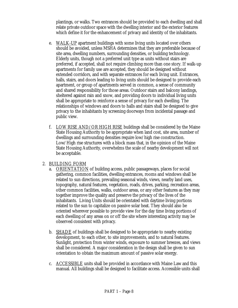plantings, or walks. Two entrances should be provided to each dwelling and shall relate private outdoor space with the dwelling interior and the exterior features which define it for the enhancement of privacy and identity of the inhabitants.

- e. WALK-UP apartment buildings with some living units located over others should be avoided, unless MSHA determines that they are preferable because of site area, dwelling numbers, surrounding densities, or building technology. Elderly units, though not a preferred unit type as units without stairs are preferred, if accepted, shall not require climbing more than one story. If walk-up apartments for family use are accepted, they should be designed without extended corridors, and with separate entrances for each living unit. Entrances, halls, stairs, and doors leading to living units should be designed to provide each apartment, or group of apartments served in common, a sense of community and shared responsibility for those areas. Outdoor stairs and balcony landings, sheltered against rain and snow, and providing doors to individual living units shall be appropriate to reinforce a sense of privacy for each dwelling. The relationships of windows and doors to halls and stairs shall be designed to give privacy to the inhabitants by screening doorways from incidental passage and public view.
- f. LOW RISE AND/OR HIGH RISE buildings shall be considered by the Maine State Housing Authority to be appropriate when land cost, site area, number of dwellings and surrounding densities require low/high rise construction. Low/High rise structures with a block mass that, in the opinion of the Maine State Housing Authority, overwhelms the scale of nearby development will not be acceptable.

#### 2. BUILDING FORM

- a. ORIENTATION of building access, public passageways, places for social gathering, common facilities, dwelling entrances, rooms and windows shall be related to sun directions, prevailing seasonal winds, views, nearby land uses, topography, natural features, vegetation, roads, drives, parking, recreation areas, other common facilities, walks, outdoor areas, or any other features as they may together improve the quality and preserve the privacy of the lives of the inhabitants. Living Units should be orientated with daytime living portions related to the sun to capitalize on passive solar heat. They should also be oriented wherever possible to provide view for the day time living portions of each dwelling of any areas on or off the site where interesting activity may be observed consistent with privacy.
- b. SHADE of buildings shall be designed to be appropriate to nearby existing development, to each other, to site improvements, and to natural features. Sunlight, protection from winter winds, exposure to summer breezes, and views shall be considered. A major consideration in the design shall be given to sun orientation to obtain the maximum amount of passive solar energy.
- c. ACCESSIBLE units shall be provided in accordance with Maine Law and this manual. All buildings shall be designed to facilitate access. Accessible units shall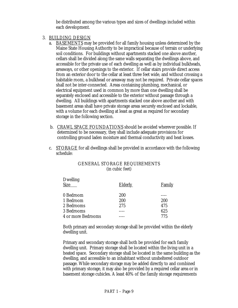be distributed among the various types and sizes of dwellings included within each development.

#### 3. BUILDING DESIGN

- a. BASEMENTS may be provided for all family housing unless determined by the Maine State Housing Authority to be impractical because of terrain or underlying soil conditions. For buildings without apartments stacked one above another, cellars shall be divided along the same walls separating the dwellings above, and accessible for the private use of each dwelling as well as by individual bulkheads, areaways, or other openings to the exterior. If cellar stairs provide direct access from an exterior door to the cellar at least three feet wide, and without crossing a habitable room, a bulkhead or areaway may not be required. Private cellar spaces shall not be inter-connected. Areas containing plumbing, mechanical, or electrical equipment used in common by more than one dwelling shall be separately enclosed and accessible to the exterior without passage through a dwelling. All buildings with apartments stacked one above another and with basement areas shall have private storage areas securely enclosed and lockable, with a volume for each dwelling at least as great as required for secondary storage in the following section.
- b. CRAWL SPACE FOUNDATIONS should be avoided wherever possible. If determined to be necessary, they shall include adequate provisions for controlling ground laden moisture and thermal conductivity and heat losses.
- c. STORAGE for all dwellings shall be provided in accordance with the following schedule:

| <b>Dwelling</b><br><b>Size</b> | <b>Elderly</b> | <b>Family</b> |
|--------------------------------|----------------|---------------|
| 0 Bedroom                      | 200            |               |
| 1 Bedroom                      | 200            | 200           |
| 2 Bedrooms                     | 275            | 475           |
| 3 Bedrooms                     |                | 625           |
| 4 or more Bedrooms             |                | 775           |
|                                |                |               |

#### GENERAL STORAGE REQUIREMENTS (in cubic feet)

Both primary and secondary storage shall be provided within the elderly dwelling unit.

Primary and secondary storage shall both be provided for each family dwelling unit. Primary storage shall be located within the living unit in a heated space. Secondary storage shall be located in the same building as the dwelling, and accessible to an inhabitant without unsheltered outdoor passage. While secondary storage may be added directly to and combined with primary storage, it may also be provided by a required cellar area or in basement storage cubicles. A least 40% of the family storage requirements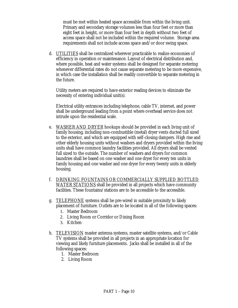must be met within heated space accessible from within the living unit. Primary and secondary storage volumes less than four feet or more than eight feet in height, or more than four feet in depth without two feet of access space shall not be included within the required volume. Storage area requirements shall not include access space and/or door swing space.

d. UTILITIES shall be centralized wherever practicable to realize economies of efficiency in operation or maintenance. Layout of electrical distribution and, where possible, heat and water systems shall be designed for separate metering whenever differential rates do not cause separate metering to be more expensive, in which case the installation shall be readily convertible to separate metering in the future.

Utility meters are required to have exterior reading devices to eliminate the necessity of entering individual unit(s).

Electrical utility entrances including telephone, cable TV, internet, and power shall be underground leading from a point where overhead service does not intrude upon the residential scale.

- e. WASHER AND DRYER hookups should be provided in each living unit of family housing, including non-combustible (metal) dryer vents ducted full sized to the exterior, and which are equipped with self-closing dampers. High rise and other elderly housing units without washers and dryers provided within the living units shall have common laundry facilities provided. All dryers shall be vented full sized to the outside. The number of washers and dryers for common laundries shall be based on one washer and one dryer for every ten units in family housing and one washer and one dryer for every twenty units in elderly housing.
- f. DRINKING FOUNTAINS OR COMMERCIALLY SUPPLIED BOTTLED WATER STATIONS shall be provided in all projects which have community facilities. These fountains/stations are to be accessible to the accessible.
- g. TELEPHONE systems shall be pre-wired in suitable proximity to likely placement of furniture. Outlets are to be located in all of the following spaces:
	- 1. Master Bedroom
	- 2. Living Room or Corridor or Dining Room
	- 3. Kitchen
- h. TELEVISION master antenna systems, master satellite systems, and/or Cable TV systems shall be provided in all projects in an appropriate location for viewing and likely furniture placements. Jacks shall be installed in all of the following spaces:
	- 1. Master Bedroom
	- 2. Living Room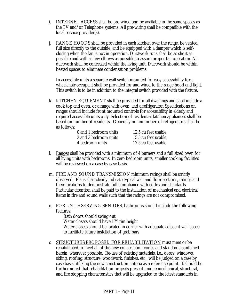- i. INTERNET ACCESS shall be pre-wired and be available in the same spaces as the TV and/or Telephone systems. All pre-wiring shall be compatible with the local service provider(s).
- j. RANGE HOODS shall be provided in each kitchen over the range, be vented full size directly to the outside, and be equipped with a damper which is selfclosing when the fan is not in operation. Ductwork runs shall be as short as possible and with as few elbows as possible to assure proper fan operation. All ductwork shall be concealed within the living unit. Ductwork should be within heated spaces to eliminate condensation problems.

In accessible units a separate wall switch mounted for easy accessibility for a wheelchair occupant shall be provided for and wired to the range hood and light. This switch is to be in addition to the integral switch provided with the fixture.

k. KITCHEN EQUIPMENT shall be provided for all dwellings and shall include a cook top and oven, or a range with oven, and a refrigerator. Specifications on ranges should include front mounted controls for accessibility in elderly and required accessible units only. Selection of residential kitchen appliances shall be based on number of residents. Generally minimum size of refrigerators shall be as follows:

| 0 and 1 bedroom units | 12.5 cu feet usable |
|-----------------------|---------------------|
| 2 and 3 bedroom units | 15.5 cu feet usable |
| 4 bedroom units       | 17.5 cu feet usable |

- l. Ranges shall be provided with a minimum of 4 burners and a full sized oven for all living units with bedrooms. In zero bedroom units, smaller cooking facilities will be reviewed on a case by case basis.
- m. FIRE AND SOUND TRANSMISSION minimum ratings shall be strictly observed. Plans shall clearly indicate typical wall and floor sections, ratings and their locations to demonstrate full compliance with codes and standards. Particular attention shall be paid to the installation of mechanical and electrical items in fire and sound walls such that the ratings are not compromised.
- n. FOR UNITS SERVING SENIORS, bathrooms should include the following features:

Bath doors should swing out. Water closets should have 17" rim height Water closets should be located in corner with adequate adjacent wall space to facilitate future installation of grab bars

o. STRUCTURES PROPOSED FOR REHABILITATION must meet or be rehabilitated to meet all of the new construction codes and standards contained herein, wherever possible. Re-use of existing materials, i.e., doors, windows, siding, roofing, structure, woodwork, finishes, etc., will be judged on a case by case basis utilizing the new construction criteria as a reference point. It should be further noted that rehabilitation projects present unique mechanical, structural, and fire stopping characteristics that will be upgraded to the latest standards in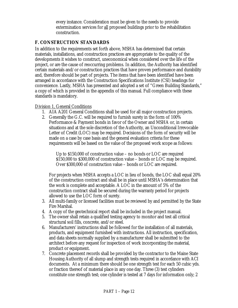every instance. Consideration must be given to the needs to provide extermination services for all proposed buildings prior to the rehabilitation construction.

#### <span id="page-14-0"></span>**F. CONSTRUCTION STANDARDS**

In addition to the requirements set forth above, MSHA has determined that certain materials, installations, and construction practices are appropriate to the quality of the developments it wishes to construct, uneconomical when considered over the life of the project, or are the cause of reoccurring problems. In addition, the Authority has identified certain materials and/or construction practices that have proven performance and durability and, therefore should be part of projects. The items that have been identified have been arranged in accordance with the Construction Specifications Institute (CSI) headings for convenience. Lastly, MSHA has presented and adopted a set of "Green Building Standards," a copy of which is provided in the appendix of this manual. Full compliance with these standards is mandatory.

#### Division 1, General Conditions

- 1. AIA A201 General Conditions shall be used for all major construction projects.
- 2. Generally the G.C. will be required to furnish surety in the form of 100% Performance & Payment bonds in favor of the Owner and MSHA or, in certain situations and at the sole discretion of the Authority, an Unconditional Irrevocable Letter of Credit (LOC) may be required. Decisions of the form of security will be made on a case by case basis and the general evaluation criteria for these requirements will be based on the value of the proposed work scope as follows:

Up to \$150,000 of construction value – no bonds or LOC are required \$150,000 to \$300,000 of construction value – bonds or LOC may be required. Over \$300,000 of construction value – bonds or LOC are required.

For projects when MSHA accepts a LOC in lieu of bonds, the LOC shall equal 20% of the construction contract and shall be in place until MSHA's determination that the work is complete and acceptable. A LOC in the amount of 5% of the construction contract shall be secured during the warranty period for projects allowed to use the LOC form of surety.

- 3. All multi-family or licensed facilities must be reviewed by and permitted by the State Fire Marshal.
- 4. A copy of the geotechnical report shall be included in the project manual.
- 5. The owner shall retain a qualified testing agency to monitor and test all critical structural soil fills, concrete, and/or steel.
- 6. Manufacturers' instructions shall be followed for the installation of all materials, products, and equipment furnished with instructions. All instruction, specification, and data sheets normally supplied by a manufacturer shall be submitted to the architect before any request for inspection of work incorporating the material, product or equipment.
- 7. Concrete placement records shall be provided by the contractor to the Maine State Housing Authority of all slump and strength tests required in accordance with ACI documents. At a minimum there should be one strength test for each 50 cubic yds. or fraction thereof of material place in any one day. Three (3) test cylinders constitute one strength test; one cylinder is tested at 7 days for information only; 2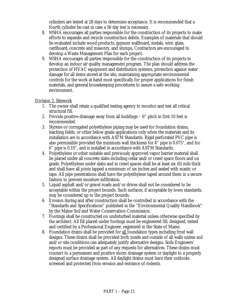cylinders are tested at 28 days to determine acceptance. It is recommended that a fourth cylinder be cast in case a 56 day test is necessary.

- 8. MSHA encourages all parties responsible for the construction of its projects to make efforts to separate and recycle construction debris. Examples of materials that should be evaluated include wood products, gypsum wallboard, metals, wire, glass, cardboard, concrete and masonry, and stumps. Contractors are encouraged to develop a Waste Management Plan for each project.
- 9. MSHA encourages all parties responsible for the construction of its projects to develop an indoor air quality management program. The plan should address the protection of HVAC equipment and distribution systems, protection against water damage for all items stored at the site, maintaining appropriate environmental controls for the work at hand most specifically for proper applications for finish materials, and general housekeeping procedures to assure a safe working environment.

#### Division 2, Sitework

- 1. The owner shall retain a qualified testing agency to monitor and test all critical structural fill.
- 2. Provide positive drainage away from all buildings 6" pitch in first 10 feet is recommended.
- 3. Styrene or corrugated polyethylene piping may be used for foundation drains, leaching fields, or other below grade applications only when the materials and its installation are in accordance with ASTM Standards. Rigid perforated PVC pipe is also permissible provided the minimum wall thickness for 4" pipe is 0.075", and for 6" pipe is 0.10", and is installed in accordance with ASTM Standards.
- 4. Polyethylene or other suitable and previously approved vapor barrier material shall be placed under all concrete slabs including cellar and/or crawl space floors and on grade. Polyethylene under slabs and in crawl spaces shall be at least six (6) mils thick and shall have all joints lapped a minimum of six inches and sealed with mastic or tape. All pipe penetrations shall have the polyethylene taped around them in a secure fashion to prevent moisture infiltration.
- 5. Liquid asphalt and/or gravel roads and/or drives shall not be considered to be acceptable within the project bounds. Such surfaces, if acceptable by town standards, may be considered up to the project bounds.
- 6. Erosion during and after construction shall be controlled in accordance with the "Standards and Specifications" published in the "Environmental Quality Handbook" by the Maine Soil and Water Conservation Commission.
- 7. Footings shall be constructed on undisturbed material unless otherwise specified by the architect. All fill placed under footings must be engineered fill, designed, tested and certified by a Professional Engineer, registered in the State of Maine.
- 8. Foundation drains shall be provided for all foundation types including frost wall designs. These drains shall be provided both inside and outside of all walls unless soil and/or site conditions can adequately justify alternative designs. Soils Engineers' reports must be provided as part of any requests for alternatives. These drains must connect to a permanent and positive storm drainage system or daylight to a properly designed surface drainage system. All daylight drains must have their outlooks screened and protected from erosion and entrance of rodents.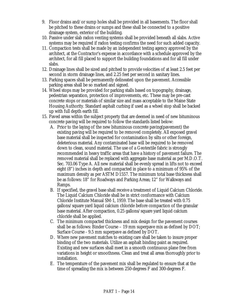- 9. Floor drains and/or sump holes shall be provided in all basements. The floor shall be pitched to these drains or sumps and these shall be connected to a positive drainage system, exterior of the building.
- 10. Passive under slab radon venting systems shall be provided beneath all slabs. Active systems may be required if radon testing confirms the need for such added capacity.
- 11. Compaction tests shall be made by an independent testing agency approved by the architect, at the Contractor's expense in accordance with a schedule approved by the architect, for all fill placed to support the building foundations and for all fill under slabs.
- 12. Drainage lines shall be sized and pitched to provide velocities of at least 2.5 feet per second in storm drainage lines, and 2.25 feet per second in sanitary lines.
- 13. Parking spaces shall be permanently delineated upon the pavement. Accessible parking areas shall be so marked and signed.
- 14. Wheel stops may be provided for parking stalls based on topography, drainage, pedestrian separation, protection of improvements, etc. These may be pre-cast concrete stops or materials of similar size and mass acceptable to the Maine State Housing Authority. Standard asphalt curbing if used as a wheel stop shall be backed up with full depth earth fill.
- 15. Paved areas within the subject property that are deemed in need of new bituminous concrete paving will be required to follow the standards listed below:
	- A. Prior to the laying of the new bituminous concrete paving(pavement) the existing paving will be required to be removed completely. All exposed gravel base material shall be inspected for contamination by silts or other foreign, deleterious material. Any contaminated base will be required to be removed down to clean, sound material. The use of a Geotextile fabric is strongly recommended in heavy traffic areas that have a history of pavement failure. The removed material shall be replaced with aggregate base material as per M.D.O.T. Sec. 703.06 Type A. All new material shall be evenly spread in lifts not to exceed eight (8") inches in depth and compacted in place to a minimum of 95% of the maximum density as per ASTM D1557. The minimum total base thickness shall be as follows: 18" for Roadways and Parking Areas; 12" for Walkways and Ramps.
	- B. If specified, the gravel base shall receive a treatment of Liquid Calcium Chloride. The Liquid Calcium Chloride shall be in strict conformance with Calcium Chloride Institute Manual SM-1, 1959. The base shall be treated with 0.75 gallons/square yard liquid calcium chloride before compaction of the granular base material. After compaction, 0.25 gallons/square yard liquid calcium chloride shall be applied.
	- C. The minimum compacted thickness and mix design for the pavement courses shall be as follows: Binder Course – 19 mm superpave mix as defined by DOT; Surface Course - 9.5 mm superpave as defined by DOT.
	- D. Where new pavement matches to existing care shall be taken to insure proper binding of the two materials. Utilize an asphalt binding paint as required. Existing and new surfaces shall meet in a smooth continuous plane free from variations in height or smoothness. Clean and treat all areas thoroughly prior to installation.
	- E. The temperature of the pavement mix shall be regulated to ensure that at the time of spreading the mix is between 250-degrees F and 300-degrees F.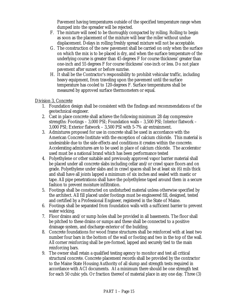Pavement having temperatures outside of the specified temperature range when dumped into the spreader will be rejected.

- F. The mixture will need to be thoroughly compacted by rolling. Rolling to begin as soon as the placement of the mixture will bear the roller without undue displacement. Delays in rolling freshly spread mixture will not be acceptable.
- G. The construction of the new pavement shall be carried on only when the surface on which the mix is to be placed is dry, and when the surface temperature of the underlying course is greater than 45 degrees F for course thickness' greater than one-inch and 55 degrees F for course thickness' one-inch or less. Do not place pavement after sunset or before sunrise.
- H. It shall be the Contractor's responsibility to prohibit vehicular traffic, including heavy equipment, from traveling upon the pavement until the surface temperature has cooled to 120-degrees F. Surface temperatures shall be measured by approved surface thermometers or equal.

#### Division 3, Concrete

- 1. Foundation design shall be consistent with the findings and recommendations of the geotechnical engineer.
- 2. Cast in place concrete shall achieve the following minimum 28 day compressive strengths: Footings – 3,000 PSI; Foundation walls – 3,500 PSI; Interior flatwork – 3,000 PSI; Exterior flatwork – 3,500 PSI with 5-7% air entrainment.
- 3. Admixtures proposed for use in concrete shall be used in accordance with the American Concrete Institute with the exception of calcium chloride. This material is undesirable due to the side effects and conditions it creates within the concrete. Accelerating admixtures are to be used in place of calcium chloride. The accelerator used must be a national brand which has been performance tested
- 4. Polyethylene or other suitable and previously approved vapor barrier material shall be placed under all concrete slabs including cellar and/or crawl space floors and on grade. Polyethylene under slabs and in crawl spaces shall be at least six (6) mils thick and shall have all joints lapped a minimum of six inches and sealed with mastic or tape. All pipe penetrations shall have the polyethylene taped around them in a secure fashion to prevent moisture infiltration.
- 5. Footings shall be constructed on undisturbed material unless otherwise specified by the architect. All fill placed under footings must be engineered fill, designed, tested and certified by a Professional Engineer, registered in the State of Maine.
- 6. Footings shall be separated from foundation walls with a sufficient barrier to prevent water wicking.
- 7. Floor drains and/or sump holes shall be provided in all basements. The floor shall be pitched to these drains or sumps and these shall be connected to a positive drainage system, and discharge exterior of the building.
- 8. Concrete foundations for wood frame structures shall be reinforced with at least two number four bars in the bottom of the wall or footing and two in the top of the wall. All corner reinforcing shall be pre-formed, lapped and securely tied to the main reinforcing bars.
- 9. The owner shall retain a qualified testing agency to monitor and test all critical structural concrete. Concrete placement records shall be provided by the contractor to the Maine State Housing Authority of all slump and strength tests required in accordance with ACI documents. At a minimum there should be one strength test for each 50 cubic yds. Or fraction thereof of material place in any one day. Three (3)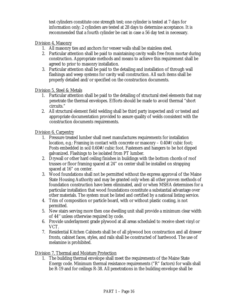test cylinders constitute one strength test; one cylinder is tested at 7 days for information only; 2 cylinders are tested at 28 days to determine acceptance. It is recommended that a fourth cylinder be cast in case a 56 day test in necessary.

Division 4, Masonry

- 1. All masonry ties and anchors for veneer walls shall be stainless steel.
- 2. Particular attention shall be paid to maintaining cavity walls free from mortar during construction. Appropriate methods and means to achieve this requirement shall be agreed to prior to masonry installation.
- 3. Particular attention shall be paid to the detailing and installation of through wall flashings and weep systems for cavity wall construction. All such items shall be properly detailed and/or specified on the construction documents.

Division 5, Steel & Metals

- 1. Particular attention shall be paid to the detailing of structural steel elements that may penetrate the thermal envelopes. Efforts should be made to avoid thermal "short circuits."
- 2. All structural element field welding shall be third party inspected and/or tested and appropriate documentation provided to assure quality of welds consistent with the construction documents requirements.

Division 6, Carpentry

- 1. Pressure treated lumber shall meet manufactures requirements for installation location, e.g.: Framing in contact with concrete or masonry – 0.40#/cubic foot; Posts embedded in soil 0.60#/cubic foot. Fasteners and hangers to be hot dipped galvanized. Flashings to be isolated from PT lumber.
- 2. Drywall or other hard ceiling finishes in buildings with the bottom chords of roof trusses or floor framing spaced at 24" on center shall be installed on strapping spaced at 16" on center.
- 3. Wood foundations shall not be permitted without the express approval of the Maine State Housing Authority and may be granted only when all other proven methods of foundation construction have been eliminated, and/or when MSHA determines for a particular installation that wood foundations constitute a substantial advantage over other materials. The system must be listed and certified by a national listing service.
- 4. Trim of composition or particle board, with or without plastic coating, is not permitted.
- 5. New stairs serving more then one dwelling unit shall provide a minimum clear width of 44'' unless otherwise required by code.
- 6. Provide underlayment grade plywood at all areas scheduled to receive sheet vinyl or VCT.
- 7. Residential Kitchen Cabinets shall be of all plywood box construction and all drawer fronts, cabinet faces, styles, and rails shall be constructed of hardwood. The use of melamine is prohibited.

Division 7, Thermal and Moisture Protection

1. The building thermal envelope shall meet the requirements of the Maine State Energy code. Minimum thermal resistance requirements ("R" factors) for walls shall be R-19 and for ceilings R-38. All penetrations in the building envelope shall be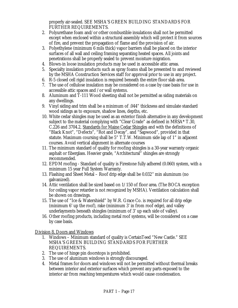properly air-sealed. SEE MSHA'S GREEN BUILDING STANDARDS FOR FURTHER REQUIREMENTS.

- 2. Polyurethane foam and/or other combustible insulations shall not be permitted except when enclosed within a structural assembly which will protect it from sources of fire, and prevent the propagation of flame and the provision of air.
- 3. Polyethylene (minimum 6 mils thick) vapor barriers shall be placed on the interior surfaces of all wall and ceiling framing separating heated spaces. All joints and penetrations shall be properly sealed to prevent moisture migration.
- 4. Blown-in loose insulation products may be used in accessible attic areas.
- 5. Specialty insulation products such as spray foams shall be presented to and reviewed by the MSHA Construction Services staff for approval prior to use in any project.
- 6. R-5 closed cell rigid insulation is required beneath the entire floor slab area.
- 7. The use of cellulose insulation may be considered on a case by case basis for use in accessible attic spaces and /or wall systems.
- 8. Aluminum and T-111 Wood sheeting shall not be permitted as siding materials on any dwellings.
- 9. Vinyl siding and trim shall be a minimum of .044" thickness and simulate standard wood sidings as to exposure, shadow lines, depths, etc.
- 10. White cedar shingles may be used as an exterior finish alternative in any development subject to the material complying with "Clear Grade" as defined in MRSA\* T.30, C.226 and 3704.2, Standards for Maine Cedar Shingles and with the definitions of "Black Knot", "Defects", "Rot and Decay", and "Sapwood", provided in that statute. Maximum coursing shall be 5" T.T.W. Minimum side lap of 1" in adjacent courses. Avoid vertical alignment in alternate courses
- 11. The minimum standard of quality for roofing shingles is a 30-year warranty organic asphalt or fiberglass. Heavier grade, "Architectural" shingles are strongly recommended.
- 12. EPDM roofing Standard of quality is Firestone fully adhered (0.060) system, with a minimum 15 year Full System Warranty.
- 13. Flashing and Sheet Metal Roof drip edge shall be 0.032'' min aluminum (no galvanized).
- 14. Attic ventilation shall be sized based on 1/150 of floor area. (The BOCA exception for ceiling vapor retarder is not recognized by MSHA). Ventilation calculation shall be shown on drawings.
- 15. The use of "Ice & Watershield" by W.R. Grace Co. is required for all drip edge (minimum 6' up the roof), rake (minimum 3' in from roof edge), and valley underlayments beneath shingles (minimum of 3' up each side of valley).
- 16. Other roofing products, including metal roof systems, will be considered on a case by case basis.

Division 8, Doors and Windows

- 1. Windows Minimum standard of quality is CertainTeed "New Castle." SEE MSHA'S GREEN BUILDING STANDARDS FOR FURTHER REQUIREMENTS.
- 2. The use of hinge pin doorstops is prohibited.
- 3. The use of aluminum windows is strongly discouraged.
- 4. Metal frames for doors and windows will not be permitted without thermal breaks between interior and exterior surfaces which prevent any parts exposed to the interior air from reaching temperatures which would cause condensation.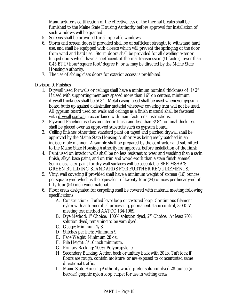Manufacturer's certification of the effectiveness of the thermal breaks shall be furnished to the Maine State Housing Authority before approval for installation of such windows will be granted.

- 5. Screens shall be provided for all operable windows.
- 6. Storm and screen doors if provided shall be of sufficient strength to withstand hard use, and shall be equipped with closers which will prevent the springing of the door from wind and hard use. Storm doors shall be provided for all dwelling exterior hinged doors which have a coefficient of thermal transmission (U factor) lower than 0.45 BTU/hour/square foot/degree F. or as may be directed by the Maine State Housing Authority.
- 7. The use of sliding glass doors for exterior access is prohibited.

#### Division 9, Finishes

- 1. Drywall used for walls or ceilings shall have a minimum nominal thickness of 1/2" If used with supporting members spaced more than 16" on centers, minimum drywall thickness shall be 5/8". Metal casing bead shall be used whenever gypsum board butts up against a dissimilar material wherever covering trim will not be used. All gypsum board used on walls and ceilings as a finish material shall be fastened with drywall screws in accordance with manufacturer's instructions.
- 2. Plywood Paneling used as an interior finish and less than 3/8" nominal thickness shall be placed over an approved substrate such as gypsum board.
- 3. Ceiling finishes other than standard paint on taped and patched drywall shall be approved by the Maine State Housing Authority as being easily patched in an indiscernible manner. A sample shall be prepared by the contractor and submitted to the Maine State Housing Authority for approval before installation of the finish.
- 4. Paint used on interior walls shall be no less resistant to wear and washing than a satin finish, alkyd base paint, and on trim and wood-work than a stain finish enamel. Semi-gloss latex paint for dry wall surfaces will be acceptable. SEE MSHA'S GREEN BUILDING STANDARDS FOR FURTHER REQUIREMENTS.
- 5. Vinyl wall covering if provided shall have a minimum weight of sixteen (16) ounces per square yard which is the equivalent of twenty-four (24) ounces per linear yard of fifty-four (54) inch wide material.
- 6. Floor areas designated for carpeting shall be covered with material meeting following specifications:
	- A. Construction: Tufted level loop or textured loop. Continuous filament nylon with anti-microbial processing, permanent static control, 3.0 K.V. meeting test method AATCC 134-1969.
	- B. Dye Method: 1<sup>st</sup> Choice: 100% solution dyed; 2<sup>nd</sup> Choice: At least 70% solution dyed, remaining to be yarn dyed.
	- C. Gauge: Minimum 1/8.
	- D. Stitches per inch: Minimum 9.
	- E. Face Weight: Minimum 28 oz.
	- F. Pile Height: 3/16 inch minimum.
	- G. Primary Backing: 100% Polypropylene.
	- H. Secondary Backing: Action back or unitary back with 20 lb. Tuft lock if floors are rough, contain moisture, or are exposed to concentrated same directional traffic.
	- I. Maine State Housing Authority would prefer solution-dyed 28-ounce (or heavier) graphic nylon loop carpet for use in waiting areas.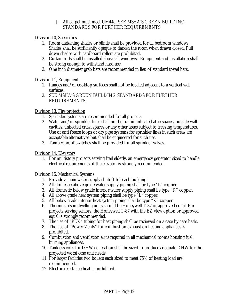J. All carpet must meet UM44d. SEE MSHA'S GREEN BUILDING STANDARDS FOR FURTHER REQUIREMENTS.

Division 10, Specialties

- 1. Room darkening shades or blinds shall be provided for all bedroom windows. Shades shall be sufficiently opaque to darken the room when drawn closed. Pull down shades with cardboard rollers are prohibited.
- 2. Curtain rods shall be installed above all windows. Equipment and installation shall be strong enough to withstand hard use.
- 3. One inch diameter grab bars are recommended in lieu of standard towel bars.

#### Division 11, Equipment

- 1. Ranges and/or cooktop surfaces shall not be located adjacent to a vertical wall surfaces.
- 2. SEE MSHA'S GREEN BUILDING STANDARDS FOR FURTHER REQUIREMENTS.

#### Division 13, Fire protection

- 1. Sprinkler systems are recommended for all projects.
- 2. Water and/or sprinkler lines shall not be run in unheated attic spaces, outside wall cavities, unheated crawl spaces or any other areas subject to freezing temperatures. Use of anti freeze loops or dry pipe systems for sprinkler lines in such areas are acceptable alternatives but shall be engineered for such use.
- 3. Tamper proof switches shall be provided for all sprinkler valves.

#### Division 14, Elevators

1. For multistory projects serving frail elderly, an emergency generator sized to handle electrical requirements of the elevator is strongly recommended.

#### Division 15, Mechanical Systems

- 1. Provide a main water supply shutoff for each building.
- 2. All domestic above grade water supply piping shall be type "L" copper.
- 3. All domestic below grade interior water supply piping shall be type "K" copper.
- 4. All above grade heat system piping shall be type "L" copper.
- 5. All below grade interior heat system piping shall be type "K" copper.
- 6. Thermostats in dwelling units should be Honeywell T-87 or approved equal. For projects serving seniors, the Honeywell T-87 with the EZ view option or approved equal is strongly recommended.
- 7. The use of "PEX" tubing for heat piping shall be reviewed on a case by case basis.
- 8. The use of "Power Vents" for combustion exhaust on heating appliances is prohibited.
- 9. Combustion and ventilation air is required in all mechanical rooms housing fuel burning appliances.
- 10. Tankless coils for DHW generation shall be sized to produce adequate DHW for the projected worst case unit needs.
- 11. For larger facilities two boilers each sized to meet 75% of heating load are recommended.
- 12. Electric resistance heat is prohibited.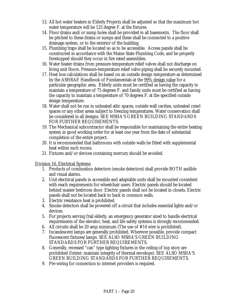- 13. All hot water heaters in Elderly Projects shall be adjusted so that the maximum hot water temperature will be 125 degree F. at the fixtures.
- 14. Floor drains and/or sump holes shall be provided in all basements. The floor shall be pitched to these drains or sumps and these shall be connected to a positive drainage system, or to the exterior of the building.
- 15. Plumbing traps shall be located so as to be accessible. Access panels shall be constructed in accordance with the Maine State Plumbing Code, and be properly firestopped should they occur in fire rated assemblies.
- 16. Water heater drains from pressure-temperature relief valves shall not discharge on living unit floors. Pressure-temperature relief valve piping shall be securely mounted.
- 17. Heat loss calculations shall be based on an outside design temperature as determined by the ASHRAE Handbook of Fundamentals at the 99% design value for a particular geographic area. Elderly units must be certified as having the capacity to maintain a temperature of 75 degrees F. and family units must be certified as having the capacity to maintain a temperature of 70 degrees F. at the specified outside design temperature.
- 18. Water shall not be run in unheated attic spaces, outside wall cavities, unheated crawl spaces or any other areas subject to freezing temperatures. Water conservation shall be considered in all designs. SEE MSHA'S GREEN BUILDING STANDARDS FOR FURTHER REQUIREMENTS.
- 19. The Mechanical subcontractor shall be responsible for maintaining the entire heating system in good working order for at least one year from the date of substantial completion of the entire project.
- 20. It is recommended that bathrooms with outside walls be fitted with supplemental heat within such rooms.
- 21. Fixtures and/or devices containing mercury should be avoided.

Division 16, Electrical Systems

- 1. Products of combustion detectors (smoke detectors) shall provide BOTH audible and visual alarms.
- 2. Unit electrical panels in accessible and adaptable units shall be mounted consistent with reach requirements for wheelchair users. Electric panels should be located behind master bedroom door. Electric panels shall not be located in closets. Electric panels shall not be located back to back in common walls.
- 3. Electric resistance heat is prohibited.
- 4. Smoke detectors shall be powered off a circuit that includes essential lights and/or devices.
- 5. For projects serving frail elderly, an emergency generator sized to handle electrical requirements of the elevator, heat, and life safety systems is strongly recommended.
- 6. All circuits shall be 20 amp minimum (The use of #14 wire is prohibited).
- 7. Incandescent lamps are generally prohibited. Wherever possible, provide compact fluorescent fixtures/lamps. SEE ALSO MSHA'S GREEN BUILDING STANDARDS FOR FURTHER REQUIREMENTS.
- 8. Generally, recessed "can" type lighting fixtures in the ceiling of top story are prohibited (Intent: maintain integrity of thermal envelope). SEE ALSO MSHA'S GREEN BUILDING STANDARDS FOR FURTHER REQUIREMENTS.
- 9. Pre-wiring for connection to internet providers is required.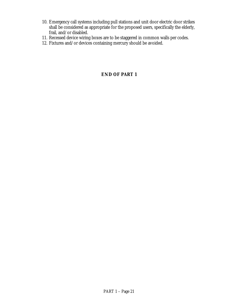- 10. Emergency call systems including pull stations and unit door electric door strikes shall be considered as appropriate for the proposed users, specifically the elderly, frail, and/or disabled.
- 11. Recessed device wiring boxes are to be staggered in common walls per codes.
- 12. Fixtures and/or devices containing mercury should be avoided.

#### **END OF PART 1**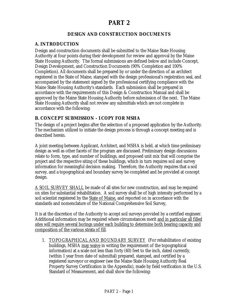#### **PART 2**

#### **DESIGN AND CONSTRUCTION DOCUMENTS**

#### <span id="page-24-0"></span>**A. INTRODUCTION**

Design and construction documents shall be submitted to the Maine State Housing Authority at four points during their development for review and approval by the Maine State Housing Authority. The formal submissions are defined below and include Concept, Design Development, and Construction Documents (90% Completion and 100% Completion). All documents shall be prepared by or under the direction of an architect registered in the State of Maine, stamped with the design professional's registration seal, and accompanied by the statement signed by the professional certifying compliance with the Maine State Housing Authority's standards. Each submission shall be prepared in accordance with the requirements of this Design & Construction Manual and shall be approved by the Maine State Housing Authority before submission of the next. The Maine State Housing Authority shall not review any submittals which are not complete in accordance with the following:

#### **B. CONCEPT SUBMISSION - 1 COPY FOR MSHA**

The design of a project begins after the selection of a proposed application by the Authority. The mechanism utilized to initiate the design process is through a concept meeting and is described herein.

A joint meeting between Applicant, Architect, and MSHA is held, at which time preliminary design as well as other facets of the program are discussed. Preliminary design discussions relate to form, type, and number of buildings, and proposed unit mix that will comprise the project and the respective siting of these buildings, which in turn requires soil and survey information for meaningful decision making. Therefore, the Authority requires that a soil survey, and a topographical and boundary survey be completed and be provided at concept design.

A SOIL SURVEY SHALL be made of all sites for new construction, and may be required on sites for substantial rehabilitation. A soil survey shall be of high intensity performed by a soil scientist registered by the State of Maine, and reported on in accordance with the standards and nomenclature of the National Comprehensive Soil Survey,

It is at the discretion of the Authority to accept soil surveys provided by a certified engineer. Additional information may be required where circumstances merit and in particular all filled sites will require several borings under each building to determine both bearing capacity and composition of the various strata of fill.

1. TOPOGRAPHICAL AND BOUNDARY SURVEY (For rehabilitation of existing buildings, MSHA may waive in writing the requirement of the topographical information) at a scale not less than forty (40) feet to the inch, dated currently, (within 1 year from date of submittal) prepared, stamped, and certified by a registered surveyor or engineer (see the Maine State Housing Authority Real Property Survey Certification in the Appendix), made by field verification in the U.S. Standard of Measurement, and shall show the following: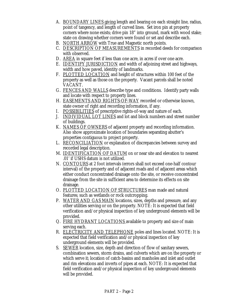- A. BOUNDARY LINES giving length and bearing on each straight line, radius, point of tangency, and length of curved lines. Set iron pin at property corners where none exists; drive pin 18" into ground, mark with wood stake; state on drawing whether corners were found or set and describe each.
- B. NORTH ARROW with True and Magnetic north points.
- C. DESCRIPTION OF MEASUREMENTS in recorded deeds for comparison with observed.
- D. AREA in square feet if less than one acre, in acres if over one acre.
- E. IDENTIFY JURISDICTION and width of adjoining street and highways, width and how paved, identity of landmarks.
- F. PLOTTED LOCATION and height of structures within 100 feet of the property as well as those on the property. Vacant parcels shall be noted VACANT.
- G. FENCES AND WALLS describe type and conditions. Identify party walls and locate with respect to property lines.
- H. EASEMENTS AND RIGHTS-OF-WAY recorded or otherwise known, state owner of right and recording information, if any.
- I. POSSIBILITIES of prescriptive rights-of-way and nature of each.
- J. INDIVIDUAL LOT LINES and lot and block numbers and street number of buildings.
- K. NAMES OF OWNERS of adjacent property and recording information. Also show approximate location of boundaries separating abutter's properties contiguous to project property.
- L. RECONCILIATION or explanation of discrepancies between survey and recorded legal description.
- M. IDENTIFICATION OF DATUM on or near site and elevation to nearest .01' if USHS datum is not utilized.
- N. CONTOURS at 2 foot intervals (errors shall not exceed one-half contour interval) of the property and of adjacent roads and of adjacent areas which either conduct concentrated drainage onto the site, or receive concentrated drainage from the site in sufficient area to determine its effects on site drainage.
- O. PLOTTED LOCATION OF STRUCTURES man made and natural features; such as wetlands or rock outcropping.
- P. WATER AND GAS MAIN locations, sizes, depths and pressure, and any other utilities serving or on the property. NOTE: It is expected that field verification and/or physical inspection of key underground elements will be provided.
- Q. FIRE HYDRANT LOCATIONS available to property and size of main serving each.
- R. ELECTRICITY AND TELEPHONE poles and lines located. NOTE: It is expected that field verification and/or physical inspection of key underground elements will be provided.
- S. SEWER location, size, depth and direction of flow of sanitary sewers, combination sewers, storm drains, and culverts which are on the property or which serve it; location of catch-basins and manholes and inlet and outlet and rim elevations and inverts of pipes at each. NOTE: It is expected that field verification and/or physical inspection of key underground elements will be provided.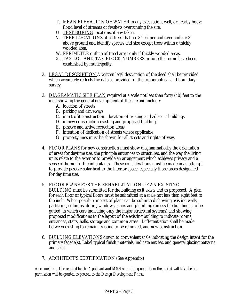- T. MEAN ELEVATION OF WATER in any excavation, well, or nearby body; flood level of streams or freshets overrunning the site.
- U. TEST BORING locations, if any taken.
- V. TREE LOCATIONS of all trees that are 8" caliper and over and are 3' above ground and identify species and size except trees within a thickly wooded area.
- W. PERIMETER outline of treed areas only if thickly wooded areas.
- X. TAX LOT AND TAX BLOCK NUMBERS or note that none have been established by municipality.
- 2. LEGAL DESCRIPTION A written legal description of the deed shall be provided which accurately reflects the data as provided on the topographical and boundary survey.
- 3. DIAGRAMATIC SITE PLAN required at a scale not less than forty (40) feet to the inch showing the general development of the site and include:
	- A. location of streets
	- B. parking and driveways
	- C. in retrofit construction location of existing and adjacent buildings
	- D. in new construction existing and proposed buildings
	- E. passive and active recreation areas
	- F. intention of dedication of streets where applicable
	- G. property lines must be shown for all streets and rights-of-way.
- 4. FLOOR PLANS for new construction must show diagrammatically the orientation of areas for daytime use, the principle entrances to structures, and the way the living units relate to the exterior to provide an arrangement which achieves privacy and a sense of home for the inhabitants. These considerations must be made in an attempt to provide passive solar heat to the interior space, especially those areas designated for day time use.

#### 5. FLOOR PLANS FOR THE REHABILITATION OF AN EXISTING

- BUILDING must be submitted for the building as it exists and as proposed. A plan for each floor or typical floors must be submitted at a scale not less than eight feet to the inch. When possible one set of plans can be submitted showing existing walls, partitions, columns, doors, windows, stairs and plumbing (unless the building is to be gutted, in which care indicating only the major structural systems) and showing proposed modifications to the layout of the existing building to indicate rooms, entrances, stairs, halls, storage and common areas. Differentiation shall be made between existing to remain, existing to be removed, and new construction.
- 6. BUILDING ELEVATIONS drawn to convenient scale indicating the design intent for the primary façade(s). Label typical finish materials; indicate entries, and general glazing patterns and sizes.
- 7. ARCHITECT'S CERTIFICATION (See Appendix)

*Agreement must be reached by the Applicant and MSHA on the general form the project will take before permission will be granted to proceed to the Design Development Phase.*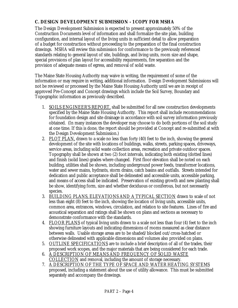#### <span id="page-27-0"></span>**C. DESIGN DEVELOPMENT SUBMISSION - 1 COPY FOR MSHA**

The Design Development Submission is expected to present approximately 50% of the Construction Documents level of information and shall formalize the site plan, building configuration, and internal layout of the living units in sufficient detail to allow preparation of a budget for construction without proceeding to the preparation of the final construction drawings. MSHA will review this submission for conformance to the previously referenced standards relating to general layout of site, buildings, and living units, room size and shape, special provisions of plan layout for accessibility requirements, fire separation and the provision of adequate means of egress, and removal of solid waste.

The Maine State Housing Authority may waive in writing, the requirement of some of the information or may require in writing, additional information. Design Development Submissions will not be reviewed or processed by the Maine State Housing Authority until we are in receipt of approved Pre-Concept and Concept drawings which include the Soil Survey, Boundary and Topographic information as previously described.

- 1. SOILS ENGINEER'S REPORT, shall be submitted for all new construction developments specified by the Maine State Housing Authority. This report shall include recommendations for foundation design and site drainage in accordance with soil survey information previously obtained. (In many instances the developer may choose to do both portions of the soil study at one time. If this is done, the report should be provided at Concept and re-submitted at with the Design Development Submission.)
- 2. PLOT PLAN, drawn to a scale no less than forty (40) feet to the inch, showing the general development of the site with locations of buildings, walks, streets, parking spaces, driveways, service areas, including solid waste collection areas, recreation and private outdoor spaces. Topography shall be shown at two (2) foot intervals, indicating both existing (dotted lines) and finish (solid lines) grades where changed. First floor elevation shall be noted on each building, utilities shall be shown, including underground power feeds, transformer locations, water and sewer mains, hydrants, storm drains, catch basins and outfalls. Streets intended for dedication and public acceptance shall be delineated and accessible units, accessible parking, and means of access shall be indicated. Preservation of existing growth and new planting shall be show, identifying form, size and whether deciduous or coniferous, but not necessarily species.
- 3. BUILDING PLANS, ELEVATIONS AND A TYPICAL SECTION drawn to scale of not less than eight (8) feet to the inch, showing the location of living units, accessible units, common area, entrances, windows, circulation, and relation to site features. Lines of fire and acoustical separation and ratings shall be shown on plans and sections as necessary to demonstrate conformance with the standards.
- 4. FLOOR PLANS of typical living units drawn to a scale not less than four (4) feet to the inch showing furniture layouts and indicating dimensions of rooms measured as clear distance between walls. Usable storage areas are to be shaded/blocked out/cross-hatched or otherwise delineated with applicable dimensions and volumes also provided on plans.
- 5. OUTLINE SPECIFICATIONS are to include a brief description of all of the trades, their proposed work scopes, and the major materials that are being considered for each trade.
- 6. A DESCRIPTION OF MEANS AND FREQUENCY OF SOLID WASTE COLLECTION and removal, including the amount of storage necessary.
- 7. A DESCRIPTION OF THE TYPE OF SPACE AND WATER HEATING SYSTEMS proposed, including a statement about the use of utility allowance. This must be submitted separately and accompany the drawings.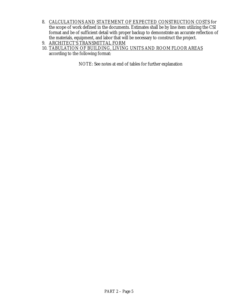- 8. CALCULATIONS AND STATEMENT OF EXPECTED CONSTRUCTION COSTS for the scope of work defined in the documents. Estimates shall be by line item utilizing the CSI format and be of sufficient detail with proper backup to demonstrate an accurate reflection of the materials, equipment, and labor that will be necessary to construct the project.
- 9. ARCHITECT'S TRANSMITTAL FORM
- 10. TABULATION OF BUILDING, LIVING UNITS AND ROOM FLOOR AREAS according to the following format:

NOTE: See notes at end of tables for further explanation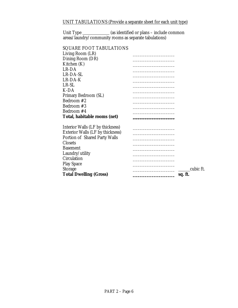#### UNIT TABULATIONS (Provide a separate sheet for each unit type)

Unit Type \_\_\_\_\_\_\_\_\_\_\_\_\_ (as identified or plans – include common areas/laundry/community rooms as separate tabulations)

#### SQUARE FOOT TABULATIONS

| Living Room (LR)                        |           |
|-----------------------------------------|-----------|
| Dining Room (DR)                        |           |
| Kitchen (K)                             |           |
| LR-DA                                   |           |
| LR-DA-SL                                |           |
| $LR$ - $DA$ - $K$                       |           |
| LR-SL                                   |           |
| K-DA                                    |           |
| Primary Bedroom (SL)                    |           |
| Bedroom #2                              |           |
| Bedroom #3                              |           |
| Bedroom #4                              |           |
| Total, habitable rooms (net)            |           |
|                                         |           |
| Interior Walls (LF by thickness)        |           |
| <b>Exterior Walls (LF by thickness)</b> |           |
| Portion of Shared Party Walls           |           |
| <b>Closets</b>                          |           |
| <b>Basement</b>                         |           |
| Laundry/utility                         |           |
| Circulation                             |           |
| <b>Play Space</b>                       |           |
| <b>Storage</b>                          | cubic ft. |
| <b>Total Dwelling (Gross)</b>           | sq. ft.   |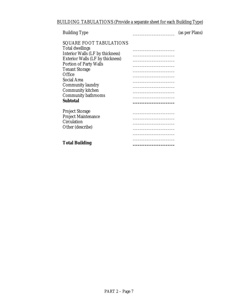BUILDING TABULATIONS (Provide a separate sheet for each Building Type)

| <b>Building Type</b>                                                                                                                    | (as per Plans) |
|-----------------------------------------------------------------------------------------------------------------------------------------|----------------|
| <b>SQUARE FOOT TABULATIONS</b><br><b>Total dwellings</b><br>Interior Walls (LF by thickness)<br><b>Exterior Walls (LF by thickness)</b> |                |
| <b>Portion of Party Walls</b>                                                                                                           |                |
| <b>Tenant Storage</b>                                                                                                                   |                |
| Office                                                                                                                                  |                |
| <b>Social Area</b>                                                                                                                      |                |
| <b>Community laundry</b>                                                                                                                |                |
| <b>Community kitchen</b>                                                                                                                |                |
| <b>Community bathrooms</b>                                                                                                              |                |
| <b>Subtotal</b>                                                                                                                         |                |
| <b>Project Storage</b><br><b>Project Maintenance</b><br><b>Circulation</b><br>Other (describe)                                          |                |
| <b>Total Building</b>                                                                                                                   |                |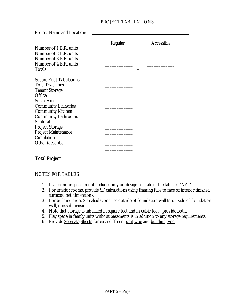#### PROJECT TABULATIONS

Project Name and Location:

|                                | Regular |          | Accessible |   |
|--------------------------------|---------|----------|------------|---|
| Number of 1 B.R. units         |         |          |            |   |
| Number of 2 B.R. units         |         |          |            |   |
| Number of 3 B.R. units         |         |          |            |   |
| Number of 4 B.R. units         |         |          |            |   |
| <b>Totals</b>                  |         | $\,{}^+$ |            | = |
| <b>Square Foot Tabulations</b> |         |          |            |   |
| <b>Total Dwellings</b>         |         |          |            |   |
| <b>Tenant Storage</b>          |         |          |            |   |
| Office                         |         |          |            |   |
| <b>Social Area</b>             |         |          |            |   |
| <b>Community Laundries</b>     |         |          |            |   |
| <b>Community Kitchen</b>       |         |          |            |   |
| <b>Community Bathrooms</b>     |         |          |            |   |
| Subtotal                       |         |          |            |   |
| <b>Project Storage</b>         |         |          |            |   |
| <b>Project Maintenance</b>     |         |          |            |   |
| <b>Circulation</b>             |         |          |            |   |
| Other (describe)               |         |          |            |   |
|                                |         |          |            |   |
|                                |         |          |            |   |
| <b>Total Project</b>           |         |          |            |   |

#### NOTES FOR TABLES

- 1. If a room or space in not included in your design so state in the table as "NA."
- 2. For interior rooms, provide SF calculations using framing face to face of interior finished surfaces, net dimensions.
- 3. For building gross SF calculations use outside of foundation wall to outside of foundation wall, gross dimensions.
- 4. Note that storage is tabulated in square feet and in cubic feet provide both.
- 5. Play space in family units without basements is in addition to any storage requirements.
- 6. Provide Separate Sheets for each different unit type and building type.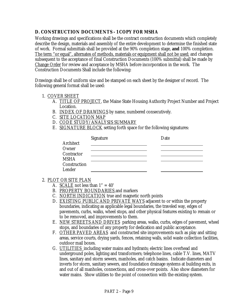#### <span id="page-32-0"></span>**D. CONSTRUCTION DOCUMENTS - 1 COPY FOR MSHA**

Working drawings and specifications shall be the contract construction documents which completely describe the design, materials and assembly of the entire development to determine the finished state of work. Formal submittals shall be provided at the 90% completion stage, **and** 100% completion. The term "or equal", alternates of methods, materials or equipment shall not be used; and changes subsequent to the acceptance of final Construction Documents (100% submittal) shall be made by Change Order for review and acceptance by MSHA before incorporation in the work. The Construction Documents Shall include the following:

Drawings shall be of uniform size and be stamped on each sheet by the designer of record. The following general format shall be used:

#### 1. COVER SHEET

- A. TITLE OF PROJECT, the Maine State Housing Authority Project Number and Project Location.
- B. INDEX OF DRAWINGS by name, numbered consecutively.
- C. SITE LOCATION MAP
- D. CODE STUDY/ANALYSIS SUMMARY
- E. SIGNATURE BLOCK setting forth space for the following signatures:

|              | <b>Signature</b> | Date |
|--------------|------------------|------|
| Architect    |                  |      |
| Owner        |                  |      |
| Contractor   |                  |      |
| <b>MSHA</b>  |                  |      |
| Construction |                  |      |
| Lender       |                  |      |

- 2. PLOT OR SITE PLAN
	- A. SCALE not less than  $1" = 40'$
	- B. PROPERTY BOUNDARIES and markers
	- C. NORTH INDICATION true and magnetic north points
	- D. EXISTING PUBLIC AND PRIVATE WAYS adjacent to or within the property boundaries, indicating as applicable legal boundaries, the traveled way, edges of pavements, curbs, walks, wheel stops, and other physical features existing to remain or to be removed, and improvements to them.
	- E. NEW STREETS AND DRIVES parking areas, walks, curbs, edges of pavement, wheel stops, and boundaries of any property for dedication and public acceptance.
	- F. OTHER PAVED AREAS and constructed site improvements such as play and sitting areas, service courts, drying yards, fences, retaining walls, solid waste collection facilities, outdoor mail boxes.
	- G. UTILITIES including water mains and hydrants; electric lines overhead and underground poles, lighting and transformers; telephone lines, cable T.V. lines, MATV lines, sanitary and storm sewers, manholes, and catch basins. Indicate diameters and inverts for storm, sanitary sewers, and foundation drainage systems at building exits, in and out of all manholes, connections, and cross-over points. Also show diameters for water mains. Show utilities to the point of connection with the existing system.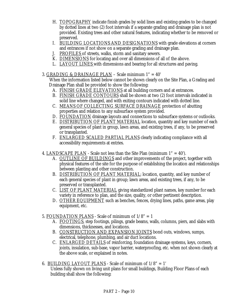- H. TOPOGRAPHY indicate finish grades by solid lines and existing grades to be changed by dotted lines at two (2) foot intervals if a separate grading and drainage plan is not provided. Existing trees and other natural features, indicating whether to be removed or preserved.
- I. BUILDING LOCATIONS AND DESIGNATIONS with grade elevations at corners and entrances if not show on a separate grading and drainage plan.
- J. PROFILES of streets, walks, storm and sanitary sewers.
- K. DIMENSIONS for locating and over all dimensions of all of the above.
- L. LAYOUT LINES with dimensions and bearing for all structures and paving.

#### 3. GRADING & DRAINAGE PLAN – Scale minimum 1" = 40'

When the information listed below cannot be shown clearly on the Site Plan, a Grading and Drainage Plan shall be provided to show the following:

- A. FINISH GRADE ELEVATIONS at all building corners and at entrances.
- B. FINISH GRADE CONTOURS shall be shown at two (2) foot intervals indicated in solid line where changed, and with exiting contours indicated with dotted line.
- C. MEANS OF COLLECTING SURFACE DRAINAGE protection of abutting properties and relation to any subsurface system provided.
- D. FOUNDATION drainage layouts and connections to subsurface systems or outlooks.
- E. DISTRIBUTION OF PLANT MATERIAL location, quantity and key number of each general species of plant in group, lawn areas, and existing trees, if any, to be preserved or transplanted.
- F. ENLARGED SCALED PARTIAL PLANS clearly indicating compliance with all accessibility requirements at entries.
- 4. LANDSCAPE PLAN Scale not less than the Site Plan (minimum  $1" = 40'$ ).
	- A. OUTLINE OF BUILDINGS and other improvements of the project, together with physical features of the site for the purpose of establishing the location and relationships between planting and other construction.
	- B. DISTRIBUTION OF PLANT MATERIAL; location, quantity, and key number of each general species of plant in group; lawn areas, and existing trees, if any, to be preserved or transplanted.
	- C. LIST OF PLANT MATERIAL giving standardized plant names, key number for each variety in reference to plan, and the size, quality, or other pertinent description.
	- D. OTHER EQUIPMENT such as benches, fences, drying lines, paths, game areas, play equipment, etc.
- 5. FOUNDATION PLANS Scale of minimum of  $1/8" = 1$ 
	- A. FOOTINGS, step footings, pilings, grade beams, walls, columns, piers, and slabs with dimensions, thicknesses, and locations.
	- B. CONSTRUCTION AND EXPANSION JOINTS bond outs, windows, sumps, electrical, telephone, plumbing, and air duct locations.
	- C. ENLARGED DETAILS of reinforcing, foundation drainage systems, keys, corners, joints, insulation, sub-base, vapor barrier, waterproofing, etc. when not shown clearly at the above scale, or explained in notes.
- 6. BUILDING LAYOUT PLANS Scale of minimum of 1/8" = 1' Unless fully shown on living unit plans for small buildings, Building Floor Plans of each building shall show the following: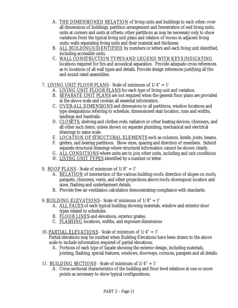- A. THE DIMENSIONED RELATION of living units and buildings to each other; overall dimensions of buildings, partition arrangement and fenestration of end living units, units at corners and units at offsets; other partitions as may be necessary only to show variations from the typical living unit plans and relation of rooms in adjacent living units; walls separating living units and their material and thickness.
- B. ALL BUILDINGS IDENTIFIED by numbers or letters and each living unit identified, including accessible units.
- C. WALL CONSTRUCTION TYPES AND LEGEND WITH KEYS INDICATING locations required for fire and acoustical separation. Provide adequate cross references as to locations of all wall types and details. Provide design references justifying all fire and sound rated assemblies.
- 7. LIVING UNIT FLOOR PLANS Scale of minimum of 1/4" = 1'
	- A. LIVING UNIT FLOOR PLANS for each type of living unit and variation.
	- B. SEPARATE UNIT PLANS are not required when the general floor plans are provided at the above scale and contain all essential information.
	- C. OVER-ALL DIMENSIONS and dimensions to all partitions, window locations and type designations referring to schedule, dimensioned stair location, runs and widths, landings and handrails.
	- D. CLOSETS, shelving and clothes rods; radiators or other heating devices, chimneys, and all other such items, unless shown on separate plumbing, mechanical and electrical drawings to same scale.
	- E. LOCATION OF STRUCTURAL ELEMENTS such as columns, lintels, joists, beams,
	- F. girders, and bearing partitions. Show sizes, spacing and direction of members. Submit separate structural drawings where structural information cannot be shown clearly.
	- G. ALL CONDITIONS where units are to join other units, including and unit conditions
	- H. LIVING UNIT TYPES identified by a number or letter.
- 8. ROOF PLANS Scale of minimum of  $1/8" = 1'$ 
	- A. RELATION of intersection of the various building roofs; direction of slopes on roofs; parapets, chimneys, vents, and other projections above roofs; downspout location and sizes, flashing and underlayment details.
	- B. Provide free air ventilation calculation demonstrating compliance with standards.
- 9. BUILDING ELEVATIONS Scale of minimum of  $1/8" = 1'$ 
	- A. ALL FACES of each typical building showing materials, window and exterior door types related to schedules.
	- B. FLOOR LINES and elevations, exterior grades.
	- C. FLASHING locations, widths, and exposure dimensions
- 10. PARTIAL ELEVATIONS Scale of minimum of 1/4" = 1'
	- Partial elevations may be omitted when Building Elevations have been drawn to the above scale to include information required of partial elevations.
		- A. Portions of each type of façade showing the exterior design, including materials, jointing, flashing, special features, windows, doorways, cornices, parapets and all details.
- 11. BUILDING SECTIONS Scale of minimum of  $1/4" = 1'$ 
	- A. Cross sectional characteristics of the building and floor level relations at one or more points as necessary to show typical configurations.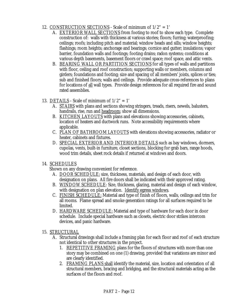#### 12. CONSTRUCTION SECTIONS - Scale of minimum of 1/2" = 1'

- A. EXTERIOR WALL SECTIONS from footing to roof to show each type. Complete construction of: walls with thickness at various stories; floors; furring; waterproofing; ceilings; roofs; including pitch and material; window heads and sills; window heights; flashings; room heights; anchorage and bearings; cornice and gutter; insulations; vapor barrier, foundation walls and footings; footing drains; radon systems; conditions at various depth basements, basement floors or crawl space; roof space, and attic vents.
- B. BEARING WALL OR PARTITION SECTIONS for all types of walls and partitions with floor, ceiling and roof construction; supporting walls or members, columns and girders; foundations and footing; size and spacing of all members' joists, splices or ties; sub and finished floors; walls and ceilings. Provide adequate cross-references to plans for locations of all wall types. Provide design references for all required fire and sound rated assemblies.
- 13. DETAILS Scale of minimum of  $1/2" = 1'$ 
	- A. STAIRS with plans and sections showing stringers, treads, risers, newels, balusters, handrails, rise, run and headroom; show all dimensions.
	- B. KITCHEN LAYOUTS with plans and elevations showing accessories, cabinets, location of heaters and ductwork runs. Note accessibility requirements where applicable.
	- C. PLAN OF BATHROOM LAYOUTS with elevations showing accessories, radiator or heater, cabinets and fixtures.
	- D. SPECIAL EXTERIOR AND INTERIOR DETAILS such as bay windows, dormers, cupolas, vents, built-in furniture, closet sections, blocking for grab bars, range hoods, wood trim details, sheet rock details if returned at windows and doors.
- 14. SCHEDULES

Shown on any drawing convenient for reference.

- A. DOOR SCHEDULE: size, thickness, materials, and design of each door, with designation on plans. All fire doors shall be indicated with their approved rating.
- B. WINDOW SCHEDULE: Size, thickness, glazing, material and design of each window, with designation on plan elevation. **Identify egress windows**.
- C. FINISH SCHEDULE: Material and type of finish of floors, walls, ceilings and trim for all rooms. Flame spread and smoke generation ratings for all surfaces required to be limited.
- D. HARDWARE SCHEDULE: Material and type of hardware for each door in door schedule. Include special hardware such as closets, electric door strikes intercom devices, and panic hardware.
- 15. STRUCTURAL
	- A. Structural drawings shall include a framing plan for each floor and roof of each structure not identical to other structures in the project.
		- 1. REPETITIVE FRAMING plans for the floors of structures with more than one story may be combined on one (1) drawing, provided that variations are minor and are clearly identified.
		- 2. FRAMING PLANS shall identify the material, size, location and orientation of all structural members, bracing and bridging, and the structural materials acting as the surfaces of the floors and roof.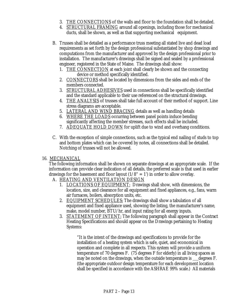- 3. THE CONNECTIONS of the walls and floor to the foundation shall be detailed.
- 4. STRUCTURAL FRAMING around all openings, including those for mechanical ducts, shall be shown, as well as that supporting mechanical equipment.
- B. Trusses shall be detailed as a performance truss meeting all stated live and dead load requirements as set forth by the design professional substantiated by shop drawings and computations from the manufacturer and approved by the design professional prior to installation. The manufacturer's drawings shall be signed and sealed by a professional engineer, registered in the State of Maine. The drawings shall show:
	- 1. THE CONNECTION at each joint shall clearly be shown and the connecting device or method specifically identified.
	- 2. CONNECTORS shall be located by dimensions from the sides and ends of the members connected.
	- 3. STRUCTURAL ADHESIVES used in connections shall be specifically identified and the standard applicable to their use referenced on the structural drawings.
	- 4. THE ANALYSIS of trusses shall take full account of their method of support. Line stress diagrams are acceptable.
	- 5. LATERAL AND WIND BRACING details as well as handling details
	- 6. WHERE THE LOADS occurring between panel points induce bending significantly affecting the member stresses, such effects shall be included.
	- 7. ADEQUATE HOLD DOWN for uplift due to wind and overhang conditions.
- C. With the exception of simple connections, such as the typical end nailing of studs to top and bottom plates which can be covered by notes, all connections shall be detailed. Notching of trusses will not be allowed.

#### 16. MECHANICAL

The following information shall be shown on separate drawings at an appropriate scale. If the information can provide clear indication of all details, the preferred scale is that used in earlier drawings for the basement and floor layout  $(1/8" = 1')$  in order to allow overlay.

#### A. HEATING AND VENTILATION DESIGN

- 1. LOCATIONS OF EQUIPMENT: Drawings shall show, with dimensions, the location, size, and clearance for all equipment and fixed appliances, e.g., fans, warm air furnaces, boilers, absorption units, etc.
- 2. EQUIPMENT SCHEDULES: The drawings shall show a tabulation of all equipment and fixed appliance used, showing the listing, the manufacturer's name, make, model number, BTU/hr, and input rating for all energy inputs.
- 3. STATEMENT OF INTENT: The following paragraph shall appear in the Contract Heating Specifications and should appear on the Drawings pertaining to Heating Systems:

"It is the intent of the drawings and specifications to provide for the installation of a heating system which is safe, quiet, and economical in operation and complete in all respects. This system will provide a uniform temperature of 70 degrees F. (75 degrees F for elderly) in all living spaces as may be noted on the drawings, when the outside temperature is \_degrees F. (the appropriate outdoor design temperature for each development location shall be specified in accordance with the ASHRAE 99% scale.) All materials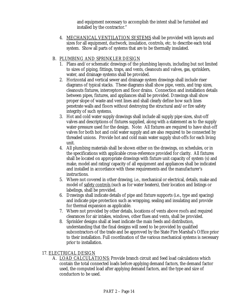and equipment necessary to accomplish the intent shall be furnished and installed by the contractor."

4. MECHANICAL VENTILATION SYSTEMS shall be provided with layouts and sizes for all equipment, ductwork, insulation, controls, etc. to describe each total system. Show all parts of systems that are to be thermally insulated.

#### B. PLUMBING AND SPRINKLER DESIGN

- 1. Plans and/or schematic drawings of the plumbing layouts, including but not limited to sizes of piping, fittings, traps, and vents, cleanouts and valves, gas, sprinklers, water, and drainage systems shall be provided.
- 2. Horizontal and vertical sewer and drainage system drawings shall include riser diagrams of typical stacks. These diagrams shall show pipe, vents, and trap sizes, cleanouts fixtures, interceptors and floor drains. Connection and installation details between pipes, fixtures, and appliances shall be provided. Drawings shall show proper slope of waste and vent lines and shall clearly define how such lines penetrate walls and floors without destroying the structural and/or fire safety integrity of such systems.
- 3. Hot and cold water supply drawings shall include all supply pipe sizes, shut-off valves and descriptions of fixtures supplied, along with a statement as to the supply water-pressure used for the design. Note: All fixtures are required to have shut-off valves for both hot and cold water supply and are also required to be connected by threaded unions. Provide hot and cold main water supply shut-offs for each living unit.
- 4. All plumbing materials shall be shown either on the drawings, on schedules, or in the specifications with applicable cross-reference provided for clarity. All fixtures shall be located on appropriate drawings with fixture unit capacity of system (s) and make, model and rating/capacity of all equipment and appliances shall be indicated and installed in accordance with these requirements and the manufacturer's instructions.
- 5. Where not covered in other drawing, i.e., mechanical or electrical, details, make and model of safety controls (such as for water heaters), their location and listings or labelings, shall be provided.
- 6. Drawings shall indicate details of pipe and fixture supports (i.e., type and spacing) and indicate pipe protection such as wrapping, sealing and insulating and provide for thermal expansion as applicable.
- 7. Where not provided by other details, locations of vents above roofs and required clearances for air intakes, windows, other flues and vents, shall be provided.
- 8. Sprinkler designs shall at least indicate the main feeds and distribution, understanding that the final designs will need to be provided by qualified subcontractors of the trade and be approved by the State Fire Marshal's Office prior to their installation. Full coordination of the various mechanical systems is necessary prior to installation.

#### 17. ELECTRICAL DESIGN

A. LOAD CALCULATIONS: Provide branch circuit and feed load calculations which contain the total connected loads before applying demand factors, the demand factor used, the computed load after applying demand factors, and the type and size of conductors to be used.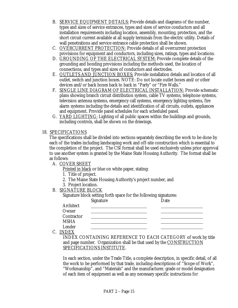- B. SERVICE EQUIPMENT DETAILS: Provide details and diagrams of the number, types and sizes of service entrances, types and sizes of service conductors and all installation requirements including location, assembly, mounting, protection, and the short circuit current available at all supply terminals from the electric utility. Details of wall penetrations and service entrance cable protection shall be shown.
- C. OVERCURRENT PROTECTION: Provide details of all overcurrent protection provisions for equipment and conductors, including sizes, ratings, types and locations.
- D. GROUNDING OF THE ELECTRICAL SYSTEM: Provide complete details of the grounding and bonding provisions including the methods used, the location of connections, and types and sizes of conductors and electrodes.
- E. OUTLETS AND JUNCTION BOXES: Provide installation details and location of all outlet, switch and junction boxes. NOTE: Do not locate outlet boxes and/or other devices and/or back boxes back to back in "Party" or "Fire Walls."
- F. SINGLE LINE DIAGRAM OF ELECTRICAL INSTALLATION: Provide schematic plans showing branch circuit distribution system, cable TV systems, telephone systems, television antenna systems, emergency call systems, emergency lighting systems, fire alarm systems including the details and identification of all circuits, outlets, appliances and equipment. Provide panel schedules for each scheduled panel.
- G. YARD LIGHTING: Lighting of all public spaces within the buildings and grounds, including controls, shall be shown on the drawings.

#### 18. SPECIFICATIONS

The specifications shall be divided into sections separately describing the work to be done by each of the trades including landscaping work and off-site construction which is essential to the completion of the project. The CSI format shall be used exclusively unless prior approval to use another system is granted by the Maine State Housing Authority. The format shall be as follows:

A. COVER SHEET

Printed in black or blue on white paper, stating:

- 1. Title of project.
- 2. The Maine State Housing Authority's project number, and
- 3. Project location.
- B. SIGNATURE BLOCK

| Signature block setting forth space for the following signatures: |  |  |
|-------------------------------------------------------------------|--|--|
|                                                                   |  |  |

|             | <b>Signature</b> | Date |
|-------------|------------------|------|
| Architect   |                  |      |
| Owner       |                  |      |
| Contractor  |                  |      |
| <b>MSHA</b> |                  |      |
| Lender      |                  |      |

C. INDEX

INDEX CONTAINING REFERENCE TO EACH CATEGORY of work by title and page number. Organization shall be that used by the CONSTRUCTION SPECIFICATIONS INSTITUTE.

In each section, under the Trade Title, a complete description, in specific detail, of all the work to be performed by that trade, including descriptions of "Scope of Work", "Workmanship", and "Materials" and the manufacturer, grade or model designation of each item of equipment as well as any necessary specific instructions for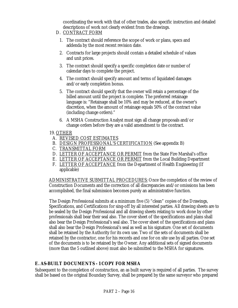coordinating the work with that of other trades, also specific instruction and detailed descriptions of work not clearly evident from the drawings.

- <span id="page-39-0"></span>D. CONTRACT FORM
	- 1. The contract should reference the scope of work or plans, specs and addenda by the most recent revision date.
	- 2. Contracts for large projects should contain a detailed schedule of values and unit prices.
	- 3. The contract should specify a specific completion date or number of calendar days to complete the project.
	- 4. The contract should specify amount and terms of liquidated damages and/or early completion bonus.
	- 5. The contract should specify that the owner will retain a percentage of the billed amount until the project is complete. The preferred retainage language is: "Retainage shall be 10% and may be reduced, at the owner's discretion, when the amount of retainage equals 50% of the contract value (including change orders)."
	- 6. A MSHA Construction Analyst must sign all change proposals and/or change orders before they are a valid amendment to the contract.

#### 19. OTHER

- A. REVISED COST ESTIMATES
- B. DESIGN PROFESSIONAL'S CERTIFICATION (See appendix B)
- C. TRANSMITTAL FORM
- D. LETTER OF ACCEPTANCE OR PERMIT from the State Fire Marshal's office
- E. LETTER OF ACCEPTANCE OR PERMIT from the Local Building Department
- F. LETTER OF ACCEPTANCE from the Department of Health Engineering (If applicable)

ADMINISTRATIVE SUBMITTAL PROCEDURES: Once the completion of the review of Construction Documents and the correction of all discrepancies and/or omissions has been accomplished, the final submission becomes purely an administrative function.

The Design Professional submits at a minimum five (5) "clean" copies of the Drawings, Specifications, and Certifications for sing-off by all interested parties. All drawing sheets are to be sealed by the Design Professional and all drawing sheets relating to work done by other professionals shall bear their seal also. The cover sheet of the specifications and plans shall also bear the Design Professional's seal also. The cover sheet of the specifications and plans shall also bear the Design Professional's seal as well as his signature. One set of documents shall be retained by the Authority for its own use. Two of the sets of documents shall be retained by the contractor, one for his records and one for on site use by all parties. One set of the documents is to be retained by the Owner. Any additional sets of signed documents (more than the 5 outlined above) must also be submitted to the MSHA for signatures.

#### **E. AS-BUILT DOCUMENTS - 1 COPY FOR MSHA**

Subsequent to the completion of construction, an as built survey is required of all parties. The survey shall be based on the original Boundary Survey, shall be prepared by the same surveyor who prepared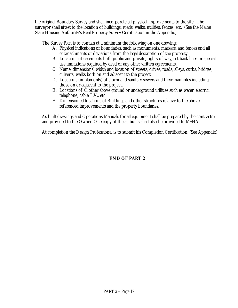the original Boundary Survey and shall incorporate all physical improvements to the site. The surveyor shall attest to the location of buildings, roads, walks, utilities, fences, etc. (See the Maine State Housing Authority's Real Property Survey Certification in the Appendix)

The Survey Plan is to contain at a minimum the following on one drawing:

- A. Physical indications of boundaries, such as monuments, markers, and fences and all encroachments or deviations from the legal description of the property.
- B. Locations of easements both public and private, rights-of-way, set back lines or special use limitations required by deed or any other written agreements.
- C. Name, dimensional width and location of streets, drives, roads, alleys, curbs, bridges, culverts, walks both on and adjacent to the project.
- D. Locations (in plan only) of storm and sanitary sewers and their manholes including those on or adjacent to the project.
- E. Locations of all other above ground or underground utilities such as water, electric, telephone, cable T.V., etc.
- F. Dimensioned locations of Buildings and other structures relative to the above referenced improvements and the property boundaries.

As built drawings and Operations Manuals for all equipment shall be prepared by the contractor and provided to the Owner. One copy of the as-builts shall also be provided to MSHA.

At completion the Design Professional is to submit his Completion Certification. (See Appendix)

#### **END OF PART 2**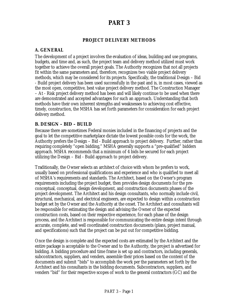#### **PART 3**

#### **PROJECT DELIVERY METHODS**

#### <span id="page-41-0"></span>**A. GENERAL**

The development of a project involves the evaluation of ideas, building and use programs, budgets, and time and, as such, the project team and delivery method utilized must work together to achieve the overall project goals. The Authority recognizes that not all projects fit within the same parameters and, therefore, recognizes two viable project delivery methods, which may be considered for its projects. Specifically, the traditional Design – Bid - Build project delivery has been used successfully in the past and is, in most cases, viewed as the most open, competitive, best value project delivery method. The Construction Manager – At - Risk project delivery method has been and will likely continue to be used when there are demonstrated and accepted advantages for such an approach. Understanding that both methods have their own inherent strengths and weaknesses to achieving cost effective, timely, construction, the MSHA has set forth parameters for consideration for each project delivery method.

#### **B. DESIGN – BID – BUILD**

Because there are sometimes Federal monies included in the financing of projects and the goal to let the competitive marketplace dictate the lowest possible costs for the work, the Authority prefers the Design – Bid - Build approach to project delivery. Further, rather than requiring completely "open bidding," MSHA generally supports a "pre-qualified" bidders approach. MSHA recommends that a minimum of 4 bids be secured for each project utilizing the Design – Bid - Build approach to project delivery.

Traditionally, the Owner selects an architect of choice with whom he prefers to work, usually based on professional qualifications and experience and who is qualified to meet all of MSHA's requirements and standards. The Architect, based on the Owner's program requirements including the project budget, then provides design documents for the preconceptual, conceptual, design development, and construction documents phases of the project development. The Architect and his design consultants, who normally include civil, structural, mechanical, and electrical engineers, are expected to design within a construction budget set by the Owner and the Authority at the onset. The Architect and consultants will be responsible for estimating the design and advising the Owner of the expected construction costs, based on their respective experience, for each phase of the design process, and the Architect is responsible for communicating the entire design intent through accurate, complete, and well coordinated construction documents (plans, project manual, and specifications) such that the project can be put out for competitive bidding.

Once the design is complete and the expected costs are estimated by the Architect and the entire package is acceptable to the Owner and to the Authority, the project is advertised for bidding. A bidding procedure and time frame is set up and contractors, including generals, subcontractors, suppliers, and venders, assemble their prices based on the content of the documents and submit "bids" to accomplish the work per the parameters set forth by the Architect and his consultants in the bidding documents. Subcontractors, suppliers, and venders "bid" for their respective scopes of work to the general contractors (GC) and the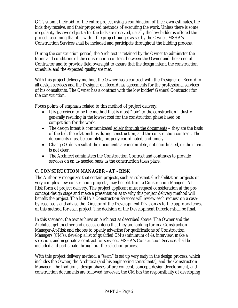<span id="page-42-0"></span>GC's submit their bid for the entire project using a combination of their own estimates, the bids they receive, and their proposed methods of executing the work. Unless there is some irregularity discovered just after the bids are received, usually the low bidder is offered the project, assuming that it is within the project budget as set by the Owner. MSHA's Construction Services shall be included and participate throughout the bidding process.

During the construction period, the Architect is retained by the Owner to administer the terms and conditions of the construction contract between the Owner and the General Contractor and to provide field oversight to assure that the design intent, the construction schedule, and the expected quality are met.

With this project delivery method, the Owner has a contract with the Designer of Record for all design services and the Designer of Record has agreements for the professional services of his consultants. The Owner has a contract with the low bidder/General Contractor for the construction.

Focus points of emphasis related to this method of project delivery:

- It is perceived to be the method that is most "fair" to the construction industry generally resulting in the lowest cost for the construction phase based on competition for the work.
- The design intent is communicated solely through the documents they are the basis of the bid, the relationships during construction, and the construction contract. The documents must be complete, properly coordinated, and timely.
- Change Orders result if the documents are incomplete, not coordinated, or the intent is not clear.
- The Architect administers the Construction Contract and continues to provide services on an as-needed basis as the construction takes place.

#### **C. CONSTRUCTION MANAGER - AT - RISK**

The Authority recognizes that certain projects, such as substantial rehabilitation projects or very complex new construction projects, may benefit from a Construction Manger - At - Risk form of project delivery. The project applicant must request consideration at the preconcept design stage and make a presentation as to why this project delivery method will benefit the project. The MSHA's Construction Services will review each request on a caseby-case basis and advise the Director of the Development Division as to the appropriateness of this method for each project. The decision of the Development Director shall be final.

In this scenario, the owner hires an Architect as described above. The Owner and the Architect get together and discuss criteria that they are looking for in a Construction-Manager-At-Risk and choose to openly advertise for qualifications of Construction Managers (CM's), develop a list of qualified CM's (minimum of 4), interview, make a selection, and negotiate a contract for services. MSHA's Construction Services shall be included and participate throughout the selection process.

With this project delivery method, a "team" is set up very early in the design process, which includes the Owner, the Architect (and his engineering consultants), and the Construction Manager. The traditional design phases of pre-concept, concept, design development, and construction documents are followed however, the CM has the responsibility of developing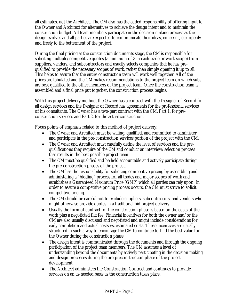all estimates, not the Architect. The CM also has the added responsibility of offering input to the Owner and Architect for alternatives to achieve the design intent and to maintain the construction budget. All team members participate in the decision making process as the design evolves and all parties are expected to communicate their ideas, concerns, etc. openly and freely to the betterment of the project.

During the final pricing at the construction documents stage, the CM is responsible for soliciting multiple/competitive quotes (a minimum of 3 in each trade or work scope) from suppliers, venders, and subcontractors and usually selects companies that he has prequalified to provide the necessary scopes of work, rather than simply opening it up to all. This helps to assure that the entire construction team will work well together. All of the prices are tabulated and the CM makes recommendations to the project team on which subs are best qualified to the other members of the project team. Once the construction team is assembled and a final price put together, the construction process begins.

With this project delivery method, the Owner has a contract with the Designer of Record for all design services and the Designer of Record has agreements for the professional services of his consultants. The Owner has a two-part contract with the CM: Part 1, for preconstruction services and Part 2, for the actual construction.

Focus points of emphasis related to this method of project delivery:

- The Owner and Architect must be willing, qualified, and committed to administer and participate in the pre-construction services portion of the project with the CM.
- The Owner and Architect must carefully define the level of services and the prequalifications they require of the CM and conduct an interview/selection process that results in the best possible project team.
- The CM must be qualified and be held accountable and actively participate during the pre-construction phases of the project.
- The CM has the responsibility for soliciting competitive pricing by assembling and administering a "bidding" process for all trades and major scopes of work and establishes a Guaranteed Maximum Price (GMP) which all parties can rely upon. In order to assure a competitive pricing process occurs, the CM must strive to solicit competitive pricing.
- The CM should be careful not to exclude suppliers, subcontractors, and venders who might otherwise provide quotes in a traditional bid project delivery.
- Usually the form of contract for the construction phase is based on the costs of the work plus a negotiated flat fee. Financial incentives for both the owner and/or the CM are also usually discussed and negotiated and might include considerations for early completion and actual costs vs. estimated costs. These incentives are usually structured in such a way to encourage the CM to continue to find the best value for the Owner during the construction phase.
- The design intent is communicated through the documents and through the ongoing participation of the project team members. The CM assumes a level of understanding beyond the documents by actively participating in the decision making and design processes during the pre-preconstruction phase of the project development.
- The Architect administers the Construction Contract and continues to provide services on an as-needed basis as the construction takes place.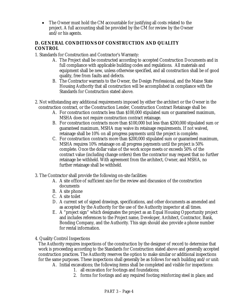<span id="page-44-0"></span>• The Owner must hold the CM accountable for justifying all costs related to the project. A full accounting shall be provided by the CM for review by the Owner and/or his agents.

#### **D. GENERAL CONDITIONS OF CONSTRUCTION AND QUALITY CONTROL**

1. Standards for Construction and Contractor's Warranty:

- A. The Project shall be constructed according to accepted Construction Documents and in full compliance with applicable building codes and regulations. All materials and equipment shall be new, unless otherwise specified, and all construction shall be of good quality, free from faults and defects.
- B. The Contractor warrants to the Owner, the Design Professional, and the Maine State Housing Authority that all construction will be accomplished in compliance with the Standards for Construction stated above.
- 2. Not withstanding any additional requirements imposed by either the architect or the Owner in the construction contract, or the Construction Lender, Construction Contract Retainage shall be:
	- A. For construction contracts less than \$100,000 stipulated sum or guaranteed maximum, MSHA does not require construction contract retainage.
	- B. For construction contracts more than \$100,000 but less than \$200,000 stipulated sum or guaranteed maximum, MSHA may waive its retainage requirements. If not waived, retainage shall be 10% on all progress payments until the project is complete.
	- C. For construction contracts more than \$200,000 stipulated sum or guaranteed maximum, MSHA requires 10% retainage on all progress payments until the project is 50% complete. Once the dollar value of the work scope meets or exceeds 50% of the contract value (including change orders) then the contractor may request that no further retainage be withheld. With agreement from the architect, Owner, and MSHA, no further retainage shall be withheld.
- 3. The Contractor shall provide the following on-site facilities:
	- A. A site office of sufficient size for the review and discussion of the construction documents
	- B. A site phone
	- C. A site toilet
	- D. A current set of signed drawings, specifications, and other documents as amended and as accepted by the Authority for the use of the Authority inspector at all times.
	- E. A "project sign" which designates the project as an Equal Housing Opportunity project and includes references to the Project name, Developer, Architect, Contractor, Bank, Bonding Company, and the Authority. This sign should also provide a phone number for rental information.

4. Quality Control Inspections

The Authority requires inspections of the construction by the designer of record to determine that work is proceeding according to the Standards for Construction stated above and generally accepted construction practices. The Authority reserves the option to make similar or additional inspections for the same purposes. These inspections shall generally be as follows for each building and/or unit:

- A. Initial excavations; the following items shall be completed and visible for inspections:
	- 1. all excavation for footings and foundations;
	- 2. forms for footings and any required footing reinforcing steel in place; and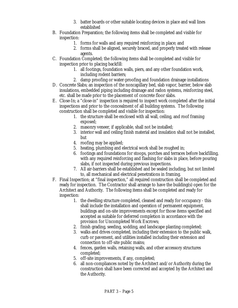- 3. batter boards or other suitable locating devices in place and wall lines established
- B. Foundation Preparation; the following items shall be completed and visible for inspection:
	- 1. forms for walls and any required reinforcing in place; and
	- 2. forms shall be aligned, securely braced, and properly treated with release agents.
- C. Foundation Completed; the following items shall be completed and visible for inspection prior to placing backfill:
	- 1. all footings, foundation walls, piers, and any other foundation work, including rodent barriers;
	- 2. damp proofing or water-proofing and foundation drainage installations
- D. Concrete Slabs; an inspection of the noncapillary bed, slab vapor, barrier, below slab insulations, embedded piping including drainage and radon systems, reinforcing steel, etc. shall be made prior to the placement of concrete floor slabs.
- E. Close-In; a "close-in" inspection is required to inspect work completed after the initial inspections and prior to the concealment of all building systems. The following construction shall be completed and visible for inspection:
	- 1. the structure shall be enclosed with all wall, ceiling, and roof framing exposed;
	- 2. masonry veneer, if applicable, shall not be installed;
	- 3. interior wall and ceiling finish material and insulation shall not be installed, but
	- 4. roofing may be applied;
	- 5. heating, plumbing and electrical work shall be roughed in;
	- 6. footings and foundations for stoops, porches and terraces before backfilling, with any required reinforcing and flashing for slabs in place, before pouring slabs, if not inspected during previous inspections.
	- 7. All air-barriers shall be established and be sealed including, but not limited to, all mechanical and electrical penetrations in framing.
- F. Final Inspection; at "final inspection," all required construction shall be completed and ready for inspection. The Contractor shall arrange to have the building(s) open for the Architect and Authority. The following items shall be completed and ready for inspection:
	- 1. the dwelling structure completed, cleaned and ready for occupancy this shall include the installation and operation of permanent equipment, buildings and on-site improvements except for those items specified and accepted as suitable for deferred completion in accordance with the provision for Uncompleted Work Escrows;
	- 2. finish grading, seeding, sodding, and landscape planting completed;
	- 3. walks and drives completed, including their extension to the public walk, curb or pavement, and utilities installed including their extension and connection to off-site public mains;
	- 4. fences, garden walls, retaining walls, and other accessory structures completed;
	- 5. off-site improvements, if any, completed;
	- 6. all non-compliances noted by the Architect and/or Authority during the construction shall have been corrected and accepted by the Architect and the Authority.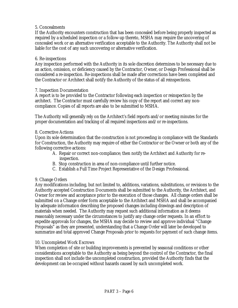#### 5. Concealments

If the Authority encounters construction that has been concealed before being properly inspected as required by a scheduled inspection or a follow-up thereto, MSHA may require the uncovering of concealed work or an alternative verification acceptable to the Authority. The Authority shall not be liable for the cost of any such uncovering or alternative verification.

#### 6. Re-inspections

Any inspection performed with the Authority in its sole discretion determines to be necessary due to an action, omission, or deficiency caused by the Contractor, Owner, or Design Professional shall be considered a re-inspection. Re-inspections shall be made after corrections have been completed and the Contractor or Architect shall notify the Authority of the status of all reinspections.

#### 7. Inspection Documentation

A report is to be provided to the Contractor following each inspection or reinspection by the architect. The Contractor must carefully review his copy of the report and correct any noncompliance. Copies of all reports are also to be submitted to MSHA.

The Authority will generally rely on the Architect's field reports and/or meeting minutes for the proper documentation and tracking of all required inspections and/or re-inspections.

#### 8. Corrective Actions

Upon its sole determination that the construction is not proceeding in compliance with the Standards for Construction, the Authority may require of either the Contractor or the Owner or both any of the following corrective actions:

- A. Repair or correct non-compliance; then notify the Architect and Authority for reinspection.
- B. Stop construction in area of non-compliance until further notice.
- C. Establish a Full Time Project Representative of the Design Professional.

#### 9. Change Orders

Any modifications including, but not limited to, additions, variations, substitutions, or revisions to the Authority accepted Construction Documents shall be submitted to the Authority, the Architect, and Owner for review and acceptance prior to the execution of those changes. All change orders shall be submitted on a Change order form acceptable to the Architect and MSHA and shall be accompanied by adequate information describing the proposed changes including drawings and description of materials when needed. The Authority may request such additional information as it deems reasonably necessary under the circumstances to justify any change order requests. In an effort to expedite approvals for changes, the MSHA may decide to review and approve individual "Change Proposals" as they are presented, understanding that a Change Order will later be developed to summarize and total approved Change Proposals prior to requests for payment of such change items.

#### 10. Uncompleted Work Escrows

When completion of site or building improvements is prevented by seasonal conditions or other considerations acceptable to the Authority as being beyond the control of the Contractor, the final inspection shall not include the uncompleted construction, provided the Authority finds that the development can be occupied without hazards caused by such uncompleted work.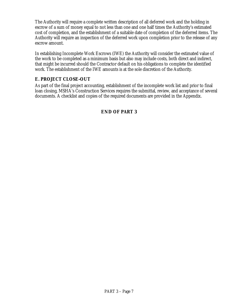<span id="page-47-0"></span>The Authority will require a complete written description of all deferred work and the holding in escrow of a sum of money equal to not less than one and one half times the Authority's estimated cost of completion, and the establishment of a suitable date of completion of the deferred items. The Authority will require an inspection of the deferred work upon completion prior to the release of any escrow amount.

In establishing Incomplete Work Escrows (IWE) the Authority will consider the estimated value of the work to be completed as a minimum basis but also may include costs, both direct and indirect, that might be incurred should the Contractor default on his obligations to complete the identified work. The establishment of the IWE amounts is at the sole discretion of the Authority.

#### **E. PROJECT CLOSE-OUT**

As part of the final project accounting, establishment of the incomplete work list and prior to final loan closing, MSHA's Construction Services requires the submittal, review, and acceptance of several documents. A checklist and copies of the required documents are provided in the Appendix.

#### **END OF PART 3**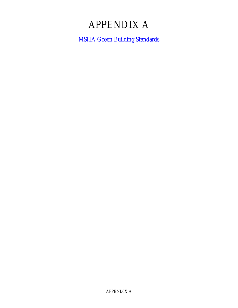## APPENDIX A

<span id="page-48-0"></span>[MSHA Green Building Standards](http://www.mainehousing.org/download/download.html)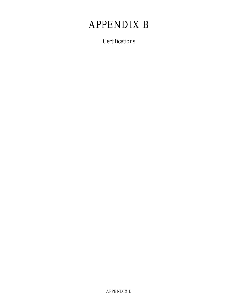## <span id="page-49-0"></span>APPENDIX B

**Certifications**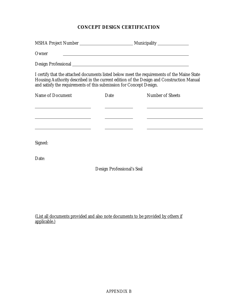#### **CONCEPT DESIGN CERTIFICATION**

| Owner                                                                           |                            | <u>and the control of the control of the control of the control of the control of the control of the control of the control of the control of the control of the control of the control of the control of the control of the con</u> |
|---------------------------------------------------------------------------------|----------------------------|--------------------------------------------------------------------------------------------------------------------------------------------------------------------------------------------------------------------------------------|
|                                                                                 |                            |                                                                                                                                                                                                                                      |
| and satisfy the requirements of this submission for Concept Design.             |                            | I certify that the attached documents listed below meet the requirements of the Maine State<br>Housing Authority described in the current edition of the Design and Construction Manual                                              |
| <b>Name of Document</b>                                                         | Date                       | <b>Number of Sheets</b>                                                                                                                                                                                                              |
| the contract of the contract of the contract of the contract of the contract of |                            |                                                                                                                                                                                                                                      |
|                                                                                 |                            |                                                                                                                                                                                                                                      |
|                                                                                 |                            |                                                                                                                                                                                                                                      |
| Signed:                                                                         |                            |                                                                                                                                                                                                                                      |
| Date:                                                                           |                            |                                                                                                                                                                                                                                      |
|                                                                                 | Design Professional's Seal |                                                                                                                                                                                                                                      |
|                                                                                 |                            |                                                                                                                                                                                                                                      |

(List all documents provided and also note documents to be provided by others if applicable.)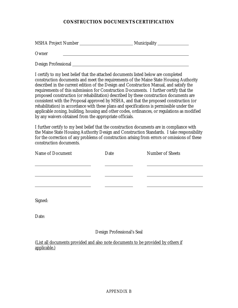#### **CONSTRUCTION DOCUMENTS CERTIFICATION**

MSHA Project Number Municipality **Owner** Design Professional

I certify to my best belief that the attached documents listed below are completed construction documents and meet the requirements of the Maine State Housing Authority described in the current edition of the Design and Construction Manual, and satisfy the requirements of this submission for Construction Documents. I further certify that the proposed construction (or rehabilitation) described by these construction documents are consistent with the Proposal approved by MSHA, and that the proposed construction (or rehabilitation) in accordance with these plans and specifications is permissible under the applicable zoning, building, housing and other codes, ordinances, or regulations as modified by any waivers obtained from the appropriate officials.

I further certify to my best belief that the construction documents are in compliance with the Maine State Housing Authority Design and Construction Standards. I take responsibility for the correction of any problems of construction arising from errors or omissions of these construction documents.

| Name of Document | Date | <b>Number of Sheets</b> |
|------------------|------|-------------------------|
|                  |      |                         |
|                  |      |                         |
|                  |      |                         |
| Signed:          |      |                         |

Date:

#### Design Professional's Seal

(List all documents provided and also note documents to be provided by others if applicable.)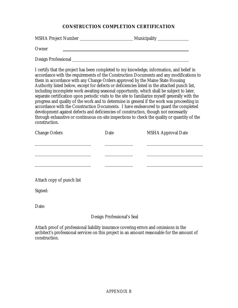#### **CONSTRUCTION COMPLETION CERTIFICATION**

| <b>MSHA Project Number</b> | <b>Municipality</b> |
|----------------------------|---------------------|
| Owner                      |                     |
| <b>Design Professional</b> |                     |

I certify that the project has been completed to my knowledge, information, and belief in accordance with the requirements of the Construction Documents and any modifications to them in accordance with any Change Orders approved by the Maine State Housing Authority listed below, except for defects or deficiencies listed in the attached punch list, including incomplete work awaiting seasonal opportunity, which shall be subject to later, separate certification upon periodic visits to the site to familiarize myself generally with the progress and quality of the work and to determine in general if the work was proceeding in accordance with the Construction Documents. I have endeavored to guard the completed development against defects and deficiencies of construction, though not necessarily through exhaustive or continuous on-site inspections to check the quality or quantity of the construction.

| <b>Change Orders</b>      | Date | <b>MSHA Approval Date</b> |
|---------------------------|------|---------------------------|
|                           |      |                           |
|                           |      |                           |
|                           |      |                           |
|                           |      |                           |
| Attach copy of punch list |      |                           |
| Signed:                   |      |                           |
|                           |      |                           |

Date:

#### Design Professional's Seal

Attach proof of professional liability insurance covering errors and omissions in the architect's professional services on this project in an amount reasonable for the amount of construction.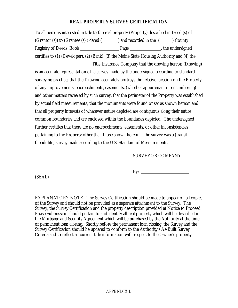#### **REAL PROPERTY SURVEY CERTIFICATION**

To all persons interested in title to the real property (Property) described in Deed (s) of (Grantor (s)) to (Grantee (s) ) dated ( ) and recorded in the ( ) County Registry of Deeds, Book Page , the undersigned certifies to (1) (Developer), (2) (Bank), (3) the Maine State Housing Authority and (4) the Title Insurance Company that the drawing hereon (Drawing)

is an accurate representation of a survey made by the undersigned according to standard surveying practice, that the Drawing accurately portrays the relative location on the Property of any improvements, encroachments, easements, (whether appurtenant or encumbering) and other matters revealed by such survey, that the perimeter of the Property was established by actual field measurements, that the monuments were found or set as shown hereon and that all property interests of whatever nature depicted are contiguous along their entire common boundaries and are enclosed within the boundaries depicted. The undersigned further certifies that there are no encroachments, easements, or other inconsistencies pertaining to the Property other than those shown hereon. The survey was a (transit theodolite) survey made according to the U.S. Standard of Measurements.

#### SURVEYOR COMPANY

(SEAL)

By:

EXPLANATORY NOTE: The Survey Certification should be made to appear on all copies of the Survey and should not be provided as a separate attachment to the Survey. The Survey, the Survey Certification and the property description provided at Notice to Proceed Phase Submission should pertain to and identify all real property which will be described in the Mortgage and Security Agreement which will be purchased by the Authority at the time of permanent loan closing. Shortly before the permanent loan closing, the Survey and the Survey Certification should be updated to conform to the Authority's As-Built Survey Criteria and to reflect all current title information with respect to the Owner's property.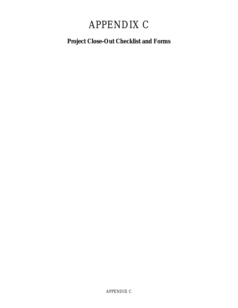## APPENDIX C

### <span id="page-54-0"></span>**Project Close-Out Checklist and Forms**

APPENDIX C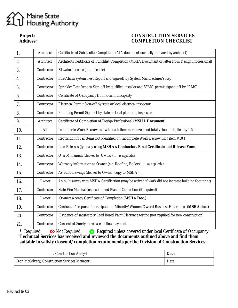## Maine State<br>Housing Authority

#### Project:<br> **Project:**<br> **Project:**<br> **CONSTRUCTION SERVICES**<br> **COMPLETION CHECKLIST COMPLETION CHECKLIST**

| 1.  | <b>Architect</b> | Certificate of Substantial Completion (AIA document normally prepared by architect)                  |
|-----|------------------|------------------------------------------------------------------------------------------------------|
| 2.  | <b>Architect</b> | Architects Certificate of Punchlist Completion (MSHA Document or letter from Design Professional)    |
| 3.  | Contractor       | Elevator License (if applicable)                                                                     |
| 4.  | Contractor       | Fire Alarm system Test Report and Sign-off by System Manufacturer's Rep                              |
| 5.  | Contractor       | Sprinkler Test Report/Sign-off by qualified installer and SFMO permit signed-off by "RMS"            |
| 6.  | Contractor       | Certificate of Occupancy from local municipality                                                     |
| 7.  | Contractor       | Electrical Permit Sign-off by state or local electrical inspector                                    |
| 8.  | Contractor       | Plumbing Permit Sign-off by state or local plumbing inspector                                        |
| 9.  | <b>Architect</b> | Certificate of Completion of Design Professional (MSHA Document)                                     |
| 10. | All              | Incomplete Work Escrow list with each item monetized and total value multiplied by 1.5               |
| 11. | Contractor       | Requisition for all items not identified on Incomplete Work Escrow list (item #10)                   |
| 12. | Contractor       | Lien Releases (typically using MSHA's Contractors Final Certificate and Release Form)                |
| 13. | Contractor       | O & M manuals (deliver to Owner) as applicable                                                       |
| 14. | Contractor       | Warranty information to Owner (e.g. Roofing, Boilers.)  as applicable                                |
| 15. | Contractor       | As-built drawings (deliver to Owner, copy to MSHA)                                                   |
| 16. | Owner            | As-built survey with MSHA Certification (may be waived if work did not increase building foot print) |
| 17. | Contractor       | State Fire Marshal Inspection and Plan of Correction (if required)                                   |
| 18. | Owner            | Owner/Agency Certificate of Completion (MSHA Doc.)                                                   |
| 19. | Contractor       | Contractor's report of participation - Minority/Women Owned Business Enterprises (MSHA doc.)         |
| 20. | Contractor       | Evidence of satisfactory Lead Based Paint Clearance testing (not required for new construction)      |
| 21. | Contractor       | Consent of Surety to release of final payment                                                        |

\* Required **Not Required C** Required unless covered under local Certificate of Occupancy **Technical Services has received and reviewed the documents outlined above and find them suitable to satisfy closeout/completion requirements per the Division of Construction Services:**

| /Construction Analyst :                      | Date: |
|----------------------------------------------|-------|
| Don McGilvery/Construction Services Manager: | Date: |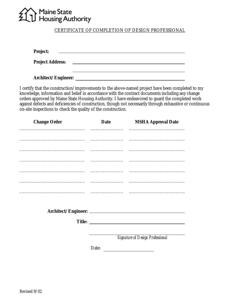## Maine State<br>Housing Authority

CERTIFICATE OF COMPLETION OF DESIGN PROFESSIONAL

<u> 1989 - Johann Stoff, deutscher Stoff, der Stoff, der Stoff, der Stoff, der Stoff, der Stoff, der Stoff, der S</u>

<u> 1989 - Johann Barn, mars ann an t-Amhain an t-Amhain an t-Amhain an t-Amhain an t-Amhain an t-Amhain an t-Amh</u> **Project:** 

**Project Address:**  <u> 1989 - Johann Barbara, martxa alemaniar arg</u>

**Architect/Engineer:** 

I certify that the construction/improvements to the above-named project have been completed to my knowledge, information and belief in accordance with the contract documents including any change orders approved by Maine State Housing Authority. I have endeavored to guard the completed work against defects and deficiencies of construction, though not necessarily through exhaustive or continuous on-site inspections to check the quality of the construction.

| <b>Change Order</b> | <b>Date</b> | <b>MSHA Approval Date</b>                |
|---------------------|-------------|------------------------------------------|
|                     |             |                                          |
|                     |             |                                          |
|                     |             |                                          |
|                     |             |                                          |
|                     |             |                                          |
|                     |             |                                          |
|                     |             |                                          |
|                     |             |                                          |
|                     |             |                                          |
|                     |             |                                          |
|                     |             |                                          |
|                     |             |                                          |
|                     |             |                                          |
|                     |             | <b>Signature of Design Professional</b>  |
|                     |             |                                          |
|                     | Date:       | <u> 1980 - Jan Alexandria (h. 1980).</u> |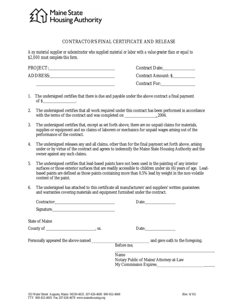## Maine State<br>Housing Authority

#### CONTRACTOR'S FINAL CERTIFICATE AND RELEASE

*Any material supplier or subcontractor who supplied material or labor with a value greater than or equal to \$2,000 must complete this form.*

| PROJECT:        | <b>Contract Date:</b>      |
|-----------------|----------------------------|
| <b>ADDRESS:</b> | <b>Contract Amount: \$</b> |
|                 | <b>Contract For:</b>       |

- 1. The undersigned certifies that there is due and payable under the above contract a final payment  $\int$  of \$  $\int$  .
- 2. The undersigned certifies that all work required under this contract has been performed in accordance with the terms of the contract and was completed on , 2004.
- 3. The undersigned certifies that, except as set forth above, there are no unpaid claims for materials, supplies or equipment and no claims of laborers or mechanics for unpaid wages arising out of the performance of the contract.
- 4. The undersigned releases any and all claims, other than for the final payment set forth above, arising under or by virtue of the contract and agrees to indemnify the Maine State Housing Authority and the owner against any such claims.
- 5. The undersigned certifies that lead-based paints have not been used in the painting of any interior surfaces or those exterior surfaces that are readily accessible to children under six (6) years of age. Leadbased paints are defined as those paints containing more than 0.5% lead by weight in the non-volatile content of the paint.
- 6. The undersigned has attached to this certificate all manufacturers' and suppliers' written guarantees and warranties covering materials and equipment furnished under the contract.

| Contractor: 2000 Contractor:  |                                        |
|-------------------------------|----------------------------------------|
| Signature: <u>Signature:</u>  |                                        |
| <b>State of Maine</b>         |                                        |
| County of $\_\_\_\_\_\$ , ss. | Date:                                  |
|                               |                                        |
|                               | Before me,                             |
|                               | Name                                   |
|                               | Notary Public of Maine/Attorney-at-Law |
|                               | My Commission Expires:                 |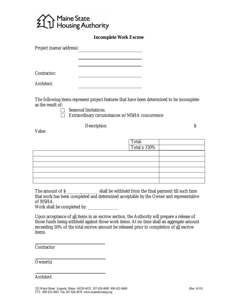

#### **Incomplete Work Escrow**

| Project (name/address): |                                                                                                                    |
|-------------------------|--------------------------------------------------------------------------------------------------------------------|
|                         |                                                                                                                    |
| Contractor:             |                                                                                                                    |
| Architect:              |                                                                                                                    |
| as the result of:       | The following items represent project features that have been determined to be incomplete<br>Seasonal limitations. |
|                         | Extraordinary circumstances w/MSHA concurrence                                                                     |

Description  $\sim$ 

Value

Total: Total x 150%

| The amount of \$ | shall be withheld from the final payment till such time                                |
|------------------|----------------------------------------------------------------------------------------|
|                  | that work has been completed and determined acceptable by the Owner and representative |
| of MSHA.         |                                                                                        |
| 117 I I II       |                                                                                        |

Work shall be completed by: \_\_\_\_\_\_\_\_\_\_\_\_\_

Upon acceptance of all items in an escrow section, the Authority will prepare a release of those funds being withheld against those work items. At no time shall an aggregate amount exceeding 50% of the total escrow amount be released prior to completion of all escrow items.

**Contractor** 

Owner(s)

Architect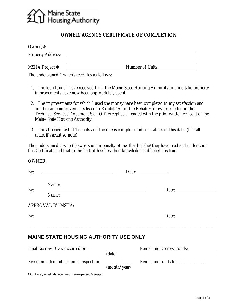

#### **OWNER/AGENCY CERTIFICATE OF COMPLETION**

| Owner(s):                                      |                         |
|------------------------------------------------|-------------------------|
| <b>Property Address:</b>                       |                         |
| <b>MSHA</b> Project #:                         | <b>Number of Units:</b> |
| The undersigned Owner(s) certifies as follows: |                         |

- 1. The loan funds I have received from the Maine State Housing Authority to undertake property improvements have now been appropriately spent.
- 2. The improvements for which I used the money have been completed to my satisfaction and are the same improvements listed in Exhibit "A" of the Rehab Escrow or as listed in the Technical Services Document Sign Off, except as amended with the prior written consent of the Maine State Housing Authority.
- 3. The attached List of Tenants and Income is complete and accurate as of this date. (List all units, if vacant so note)

The undersigned Owner(s) swears under penalty of law that he/she/they have read and understood this Certificate and that to the best of his/her/their knowledge and belief it is true.

| <b>OWNER:</b> |                                                                                                                       |              |                                                                                                                                                                                                                                                                                                                                                                                                               |
|---------------|-----------------------------------------------------------------------------------------------------------------------|--------------|---------------------------------------------------------------------------------------------------------------------------------------------------------------------------------------------------------------------------------------------------------------------------------------------------------------------------------------------------------------------------------------------------------------|
| By:           |                                                                                                                       |              | Date:                                                                                                                                                                                                                                                                                                                                                                                                         |
| By:           | Name:<br>Name:                                                                                                        |              | Date: $\frac{1}{\sqrt{1-\frac{1}{2}}\sqrt{1-\frac{1}{2}}\sqrt{1-\frac{1}{2}}\sqrt{1-\frac{1}{2}}\sqrt{1-\frac{1}{2}}\sqrt{1-\frac{1}{2}}\sqrt{1-\frac{1}{2}}\sqrt{1-\frac{1}{2}}\sqrt{1-\frac{1}{2}}\sqrt{1-\frac{1}{2}}\sqrt{1-\frac{1}{2}}\sqrt{1-\frac{1}{2}}\sqrt{1-\frac{1}{2}}\sqrt{1-\frac{1}{2}}\sqrt{1-\frac{1}{2}}\sqrt{1-\frac{1}{2}}\sqrt{1-\frac{1}{2}}\sqrt{1-\frac{1}{2}}\sqrt{1-\frac{1}{2}}$ |
|               | <b>APPROVAL BY MSHA:</b>                                                                                              |              |                                                                                                                                                                                                                                                                                                                                                                                                               |
| By:           | <u> 1989 - Johann Barbara, martin amerikan basal dan berasal dalam basal dalam basal dalam basal dalam basal dala</u> |              | Date: $\qquad \qquad$                                                                                                                                                                                                                                                                                                                                                                                         |
|               | <b>MAINE STATE HOUSING AUTHORITY USE ONLY</b>                                                                         |              |                                                                                                                                                                                                                                                                                                                                                                                                               |
|               | Final Escrow Draw occurred on:                                                                                        | (date)       | <b>Remaining Escrow Funds:</b>                                                                                                                                                                                                                                                                                                                                                                                |
|               | Recommended initial annual inspection:                                                                                | (month/year) |                                                                                                                                                                                                                                                                                                                                                                                                               |

CC: Legal; Asset Management; Development Manager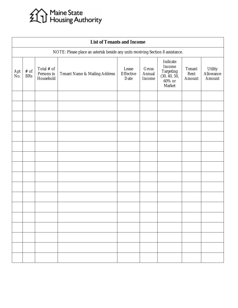# Maine State<br>211 Housing Authority

| <b>List of Tenants and Income</b> |                                                                                 |                                       |                                          |                                   |                           |                                                                               |                          |                                |
|-----------------------------------|---------------------------------------------------------------------------------|---------------------------------------|------------------------------------------|-----------------------------------|---------------------------|-------------------------------------------------------------------------------|--------------------------|--------------------------------|
|                                   | NOTE: Please place an asterisk beside any units receiving Section 8 assistance. |                                       |                                          |                                   |                           |                                                                               |                          |                                |
| Apt<br>No.                        | $\#$ of<br><b>BRs</b>                                                           | Total # of<br>Persons in<br>Household | <b>Tenant Name &amp; Mailing Address</b> | Lease<br><b>Effective</b><br>Date | Gross<br>Annual<br>Income | Indicate<br>Income<br>Targeting<br>(30, 40, 50,<br>$60\%$ or<br><b>Market</b> | Tenant<br>Rent<br>Amount | Utility<br>Allowance<br>Amount |
|                                   |                                                                                 |                                       |                                          |                                   |                           |                                                                               |                          |                                |
|                                   |                                                                                 |                                       |                                          |                                   |                           |                                                                               |                          |                                |
|                                   |                                                                                 |                                       |                                          |                                   |                           |                                                                               |                          |                                |
|                                   |                                                                                 |                                       |                                          |                                   |                           |                                                                               |                          |                                |
|                                   |                                                                                 |                                       |                                          |                                   |                           |                                                                               |                          |                                |
|                                   |                                                                                 |                                       |                                          |                                   |                           |                                                                               |                          |                                |
|                                   |                                                                                 |                                       |                                          |                                   |                           |                                                                               |                          |                                |
|                                   |                                                                                 |                                       |                                          |                                   |                           |                                                                               |                          |                                |
|                                   |                                                                                 |                                       |                                          |                                   |                           |                                                                               |                          |                                |
|                                   |                                                                                 |                                       |                                          |                                   |                           |                                                                               |                          |                                |
|                                   |                                                                                 |                                       |                                          |                                   |                           |                                                                               |                          |                                |
|                                   |                                                                                 |                                       |                                          |                                   |                           |                                                                               |                          |                                |
|                                   |                                                                                 |                                       |                                          |                                   |                           |                                                                               |                          |                                |
|                                   |                                                                                 |                                       |                                          |                                   |                           |                                                                               |                          |                                |
|                                   |                                                                                 |                                       |                                          |                                   |                           |                                                                               |                          |                                |
|                                   |                                                                                 |                                       |                                          |                                   |                           |                                                                               |                          |                                |
|                                   |                                                                                 |                                       |                                          |                                   |                           |                                                                               |                          |                                |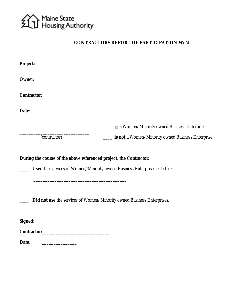

#### **CONTRACTORS REPORT OF PARTICIPATION W/M**

| <b>Project:</b>                                                               |  |                                                                                                                                                        |
|-------------------------------------------------------------------------------|--|--------------------------------------------------------------------------------------------------------------------------------------------------------|
| <b>Owner:</b>                                                                 |  |                                                                                                                                                        |
| <b>Contractor:</b>                                                            |  |                                                                                                                                                        |
| Date:                                                                         |  |                                                                                                                                                        |
|                                                                               |  | is a Women/Minority owned Business Enterprise.                                                                                                         |
| (contractor)                                                                  |  | is not a Women/Minority owned Business Enterprise                                                                                                      |
|                                                                               |  | During the course of the above referenced project, the Contractor:<br><b>Used</b> the services of Women/Minority owned Business Enterprises as listed; |
| <b>Did not use</b> the services of Women/Minority owned Business Enterprises. |  |                                                                                                                                                        |
| <b>Signed:</b>                                                                |  |                                                                                                                                                        |
|                                                                               |  |                                                                                                                                                        |
| Date:                                                                         |  |                                                                                                                                                        |